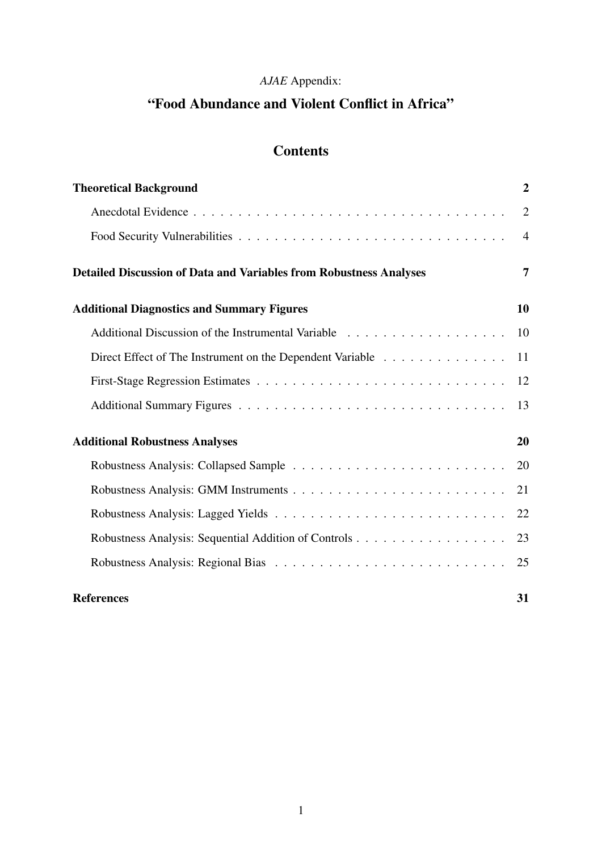# *AJAE* Appendix:

# "Food Abundance and Violent Conflict in Africa"

# **Contents**

| <b>Theoretical Background</b>                                             | $\overline{2}$ |
|---------------------------------------------------------------------------|----------------|
|                                                                           | $\overline{2}$ |
|                                                                           | $\overline{4}$ |
| <b>Detailed Discussion of Data and Variables from Robustness Analyses</b> | 7              |
| <b>Additional Diagnostics and Summary Figures</b>                         | 10             |
|                                                                           | 10             |
| Direct Effect of The Instrument on the Dependent Variable                 | 11             |
|                                                                           | 12             |
|                                                                           | 13             |
| <b>Additional Robustness Analyses</b>                                     | 20             |
|                                                                           | 20             |
|                                                                           | 21             |
|                                                                           | 22             |
|                                                                           | 23             |
|                                                                           | 25             |
| <b>References</b>                                                         | 31             |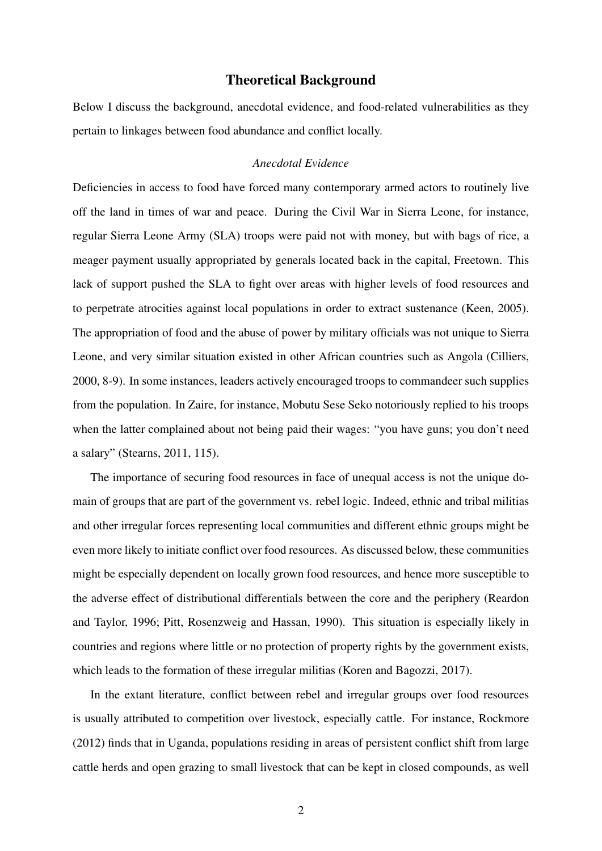#### Theoretical Background

Below I discuss the background, anecdotal evidence, and food-related vulnerabilities as they pertain to linkages between food abundance and conflict locally.

#### *Anecdotal Evidence*

Deficiencies in access to food have forced many contemporary armed actors to routinely live off the land in times of war and peace. During the Civil War in Sierra Leone, for instance, regular Sierra Leone Army (SLA) troops were paid not with money, but with bags of rice, a meager payment usually appropriated by generals located back in the capital, Freetown. This lack of support pushed the SLA to fight over areas with higher levels of food resources and to perpetrate atrocities against local populations in order to extract sustenance (Keen, 2005). The appropriation of food and the abuse of power by military officials was not unique to Sierra Leone, and very similar situation existed in other African countries such as Angola (Cilliers, 2000, 8-9). In some instances, leaders actively encouraged troops to commandeer such supplies from the population. In Zaire, for instance, Mobutu Sese Seko notoriously replied to his troops when the latter complained about not being paid their wages: "you have guns; you don't need a salary" (Stearns, 2011, 115).

The importance of securing food resources in face of unequal access is not the unique domain of groups that are part of the government vs. rebel logic. Indeed, ethnic and tribal militias and other irregular forces representing local communities and different ethnic groups might be even more likely to initiate conflict over food resources. As discussed below, these communities might be especially dependent on locally grown food resources, and hence more susceptible to the adverse effect of distributional differentials between the core and the periphery (Reardon and Taylor, 1996; Pitt, Rosenzweig and Hassan, 1990). This situation is especially likely in countries and regions where little or no protection of property rights by the government exists, which leads to the formation of these irregular militias (Koren and Bagozzi, 2017).

In the extant literature, conflict between rebel and irregular groups over food resources is usually attributed to competition over livestock, especially cattle. For instance, Rockmore (2012) finds that in Uganda, populations residing in areas of persistent conflict shift from large cattle herds and open grazing to small livestock that can be kept in closed compounds, as well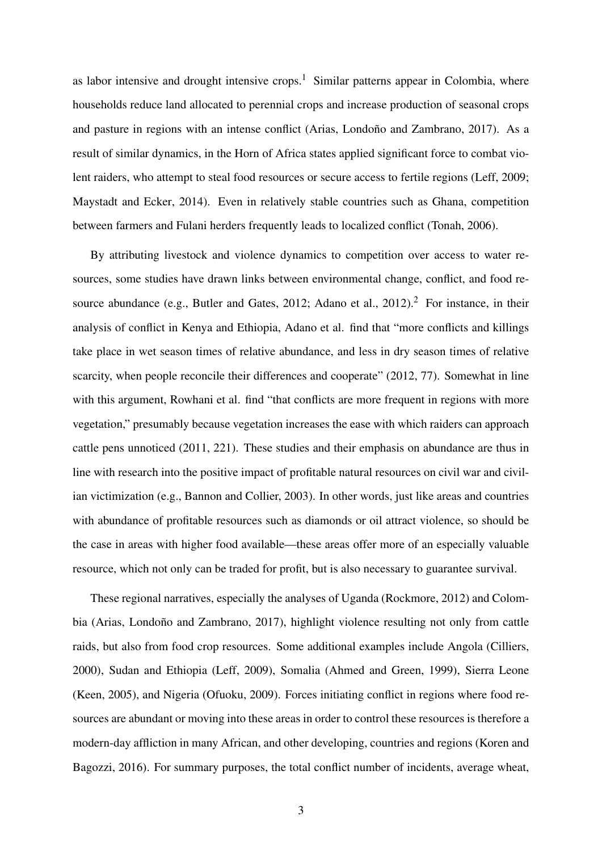as labor intensive and drought intensive crops.<sup>1</sup> Similar patterns appear in Colombia, where households reduce land allocated to perennial crops and increase production of seasonal crops and pasture in regions with an intense conflict (Arias, Londoño and Zambrano, 2017). As a result of similar dynamics, in the Horn of Africa states applied significant force to combat violent raiders, who attempt to steal food resources or secure access to fertile regions (Leff, 2009; Maystadt and Ecker, 2014). Even in relatively stable countries such as Ghana, competition between farmers and Fulani herders frequently leads to localized conflict (Tonah, 2006).

By attributing livestock and violence dynamics to competition over access to water resources, some studies have drawn links between environmental change, conflict, and food resource abundance (e.g., Butler and Gates, 2012; Adano et al., 2012).<sup>2</sup> For instance, in their analysis of conflict in Kenya and Ethiopia, Adano et al. find that "more conflicts and killings take place in wet season times of relative abundance, and less in dry season times of relative scarcity, when people reconcile their differences and cooperate" (2012, 77). Somewhat in line with this argument, Rowhani et al. find "that conflicts are more frequent in regions with more vegetation," presumably because vegetation increases the ease with which raiders can approach cattle pens unnoticed (2011, 221). These studies and their emphasis on abundance are thus in line with research into the positive impact of profitable natural resources on civil war and civilian victimization (e.g., Bannon and Collier, 2003). In other words, just like areas and countries with abundance of profitable resources such as diamonds or oil attract violence, so should be the case in areas with higher food available—these areas offer more of an especially valuable resource, which not only can be traded for profit, but is also necessary to guarantee survival.

These regional narratives, especially the analyses of Uganda (Rockmore, 2012) and Colombia (Arias, Londoño and Zambrano, 2017), highlight violence resulting not only from cattle raids, but also from food crop resources. Some additional examples include Angola (Cilliers, 2000), Sudan and Ethiopia (Leff, 2009), Somalia (Ahmed and Green, 1999), Sierra Leone (Keen, 2005), and Nigeria (Ofuoku, 2009). Forces initiating conflict in regions where food resources are abundant or moving into these areas in order to control these resources is therefore a modern-day affliction in many African, and other developing, countries and regions (Koren and Bagozzi, 2016). For summary purposes, the total conflict number of incidents, average wheat,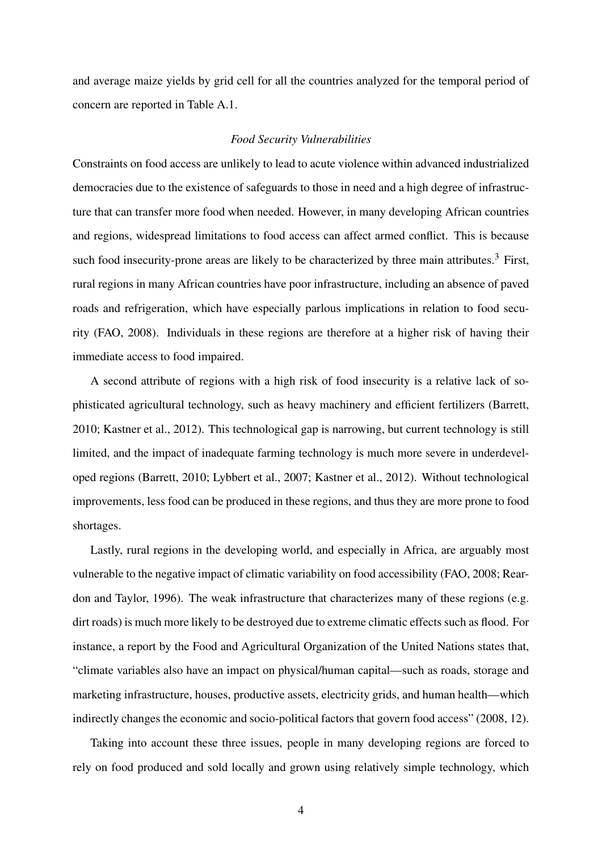and average maize yields by grid cell for all the countries analyzed for the temporal period of concern are reported in Table A.1.

#### *Food Security Vulnerabilities*

Constraints on food access are unlikely to lead to acute violence within advanced industrialized democracies due to the existence of safeguards to those in need and a high degree of infrastructure that can transfer more food when needed. However, in many developing African countries and regions, widespread limitations to food access can affect armed conflict. This is because such food insecurity-prone areas are likely to be characterized by three main attributes.<sup>3</sup> First, rural regions in many African countries have poor infrastructure, including an absence of paved roads and refrigeration, which have especially parlous implications in relation to food security (FAO, 2008). Individuals in these regions are therefore at a higher risk of having their immediate access to food impaired.

A second attribute of regions with a high risk of food insecurity is a relative lack of sophisticated agricultural technology, such as heavy machinery and efficient fertilizers (Barrett, 2010; Kastner et al., 2012). This technological gap is narrowing, but current technology is still limited, and the impact of inadequate farming technology is much more severe in underdeveloped regions (Barrett, 2010; Lybbert et al., 2007; Kastner et al., 2012). Without technological improvements, less food can be produced in these regions, and thus they are more prone to food shortages.

Lastly, rural regions in the developing world, and especially in Africa, are arguably most vulnerable to the negative impact of climatic variability on food accessibility (FAO, 2008; Reardon and Taylor, 1996). The weak infrastructure that characterizes many of these regions (e.g. dirt roads) is much more likely to be destroyed due to extreme climatic effects such as flood. For instance, a report by the Food and Agricultural Organization of the United Nations states that, "climate variables also have an impact on physical/human capital—such as roads, storage and marketing infrastructure, houses, productive assets, electricity grids, and human health—which indirectly changes the economic and socio-political factors that govern food access" (2008, 12).

Taking into account these three issues, people in many developing regions are forced to rely on food produced and sold locally and grown using relatively simple technology, which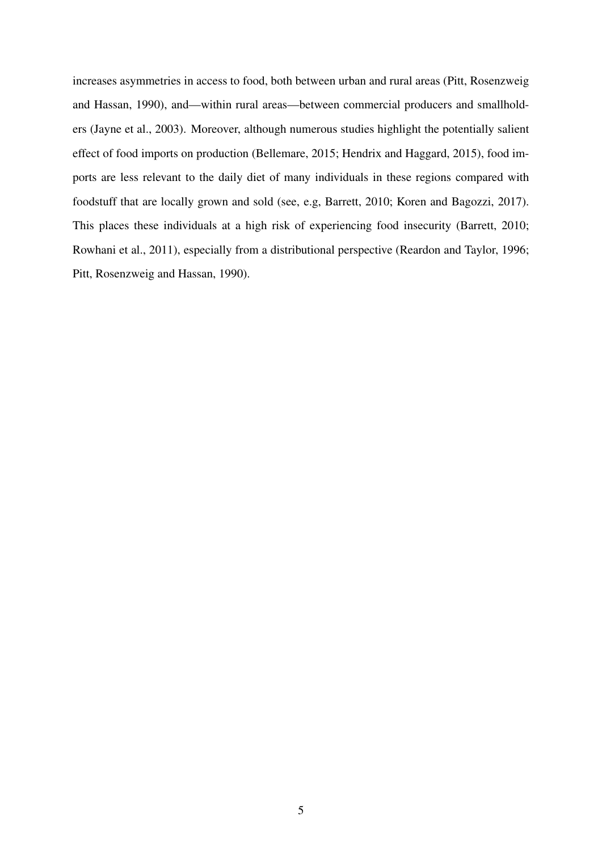increases asymmetries in access to food, both between urban and rural areas (Pitt, Rosenzweig and Hassan, 1990), and—within rural areas—between commercial producers and smallholders (Jayne et al., 2003). Moreover, although numerous studies highlight the potentially salient effect of food imports on production (Bellemare, 2015; Hendrix and Haggard, 2015), food imports are less relevant to the daily diet of many individuals in these regions compared with foodstuff that are locally grown and sold (see, e.g, Barrett, 2010; Koren and Bagozzi, 2017). This places these individuals at a high risk of experiencing food insecurity (Barrett, 2010; Rowhani et al., 2011), especially from a distributional perspective (Reardon and Taylor, 1996; Pitt, Rosenzweig and Hassan, 1990).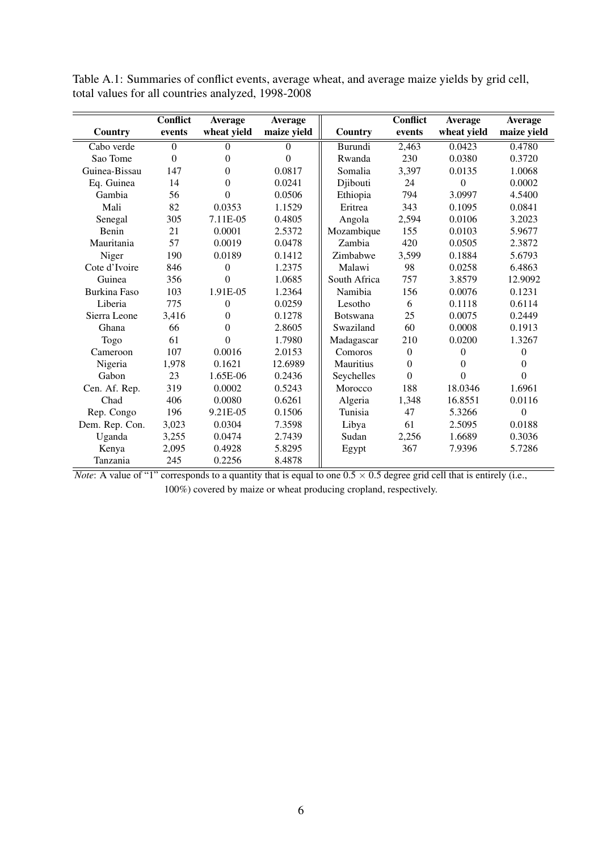|                     | <b>Conflict</b> | Average        | Average        |                 | <b>Conflict</b> | Average     | Average        |
|---------------------|-----------------|----------------|----------------|-----------------|-----------------|-------------|----------------|
| Country             | events          | wheat yield    | maize yield    | Country         | events          | wheat yield | maize yield    |
| Cabo verde          | $\Omega$        | 0              | $\Omega$       | Burundi         | 2,463           | 0.0423      | 0.4780         |
| Sao Tome            | $\Omega$        | $\theta$       | $\overline{0}$ | Rwanda          | 230             | 0.0380      | 0.3720         |
| Guinea-Bissau       | 147             | 0              | 0.0817         | Somalia         | 3,397           | 0.0135      | 1.0068         |
| Eq. Guinea          | 14              | $\overline{0}$ | 0.0241         | Djibouti        | 24              | $\Omega$    | 0.0002         |
| Gambia              | 56              | 0              | 0.0506         | Ethiopia        | 794             | 3.0997      | 4.5400         |
| Mali                | 82              | 0.0353         | 1.1529         | Eritrea         | 343             | 0.1095      | 0.0841         |
| Senegal             | 305             | 7.11E-05       | 0.4805         | Angola          | 2,594           | 0.0106      | 3.2023         |
| Benin               | 21              | 0.0001         | 2.5372         | Mozambique      | 155             | 0.0103      | 5.9677         |
| Mauritania          | 57              | 0.0019         | 0.0478         | Zambia          | 420             | 0.0505      | 2.3872         |
| Niger               | 190             | 0.0189         | 0.1412         | Zimbabwe        | 3,599           | 0.1884      | 5.6793         |
| Cote d'Ivoire       | 846             | $\overline{0}$ | 1.2375         | Malawi          | 98              | 0.0258      | 6.4863         |
| Guinea              | 356             | 0              | 1.0685         | South Africa    | 757             | 3.8579      | 12.9092        |
| <b>Burkina Faso</b> | 103             | 1.91E-05       | 1.2364         | Namibia         | 156             | 0.0076      | 0.1231         |
| Liberia             | 775             | 0              | 0.0259         | Lesotho         | 6               | 0.1118      | 0.6114         |
| Sierra Leone        | 3,416           | 0              | 0.1278         | <b>Botswana</b> | 25              | 0.0075      | 0.2449         |
| Ghana               | 66              | $\overline{0}$ | 2.8605         | Swaziland       | 60              | 0.0008      | 0.1913         |
| Togo                | 61              | $\theta$       | 1.7980         | Madagascar      | 210             | 0.0200      | 1.3267         |
| Cameroon            | 107             | 0.0016         | 2.0153         | Comoros         | $\overline{0}$  | $\Omega$    | $\overline{0}$ |
| Nigeria             | 1.978           | 0.1621         | 12.6989        | Mauritius       | $\mathbf{0}$    | $\Omega$    | $\theta$       |
| Gabon               | 23              | 1.65E-06       | 0.2436         | Seychelles      | $\Omega$        | $\theta$    | $\theta$       |
| Cen. Af. Rep.       | 319             | 0.0002         | 0.5243         | Morocco         | 188             | 18.0346     | 1.6961         |
| Chad                | 406             | 0.0080         | 0.6261         | Algeria         | 1,348           | 16.8551     | 0.0116         |
| Rep. Congo          | 196             | 9.21E-05       | 0.1506         | Tunisia         | 47              | 5.3266      | $\mathbf{0}$   |
| Dem. Rep. Con.      | 3,023           | 0.0304         | 7.3598         | Libya           | 61              | 2.5095      | 0.0188         |
| Uganda              | 3,255           | 0.0474         | 2.7439         | Sudan           | 2,256           | 1.6689      | 0.3036         |
| Kenya               | 2,095           | 0.4928         | 5.8295         | Egypt           | 367             | 7.9396      | 5.7286         |
| Tanzania            | 245             | 0.2256         | 8.4878         |                 |                 |             |                |

Table A.1: Summaries of conflict events, average wheat, and average maize yields by grid cell, total values for all countries analyzed, 1998-2008

*Note*: A value of "1" corresponds to a quantity that is equal to one  $0.5 \times 0.5$  degree grid cell that is entirely (i.e., 100%) covered by maize or wheat producing cropland, respectively.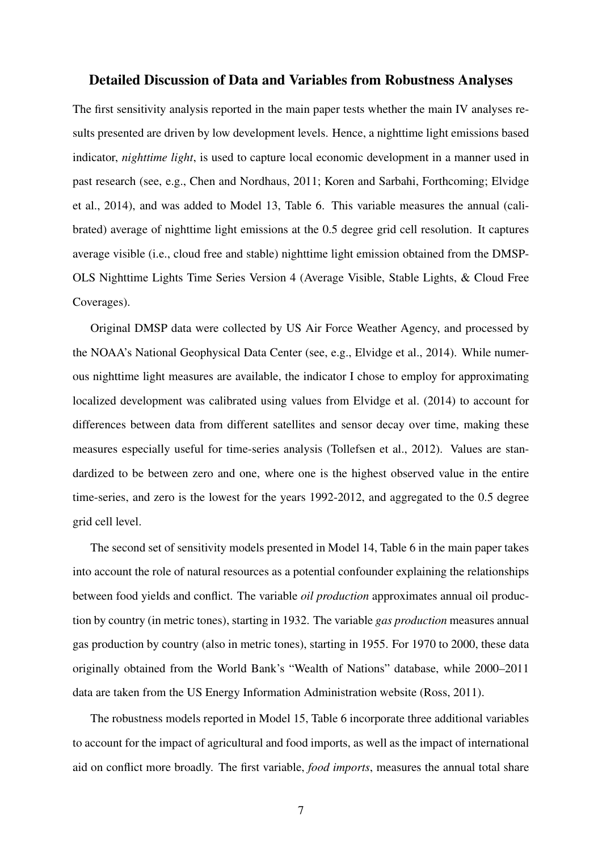#### Detailed Discussion of Data and Variables from Robustness Analyses

The first sensitivity analysis reported in the main paper tests whether the main IV analyses results presented are driven by low development levels. Hence, a nighttime light emissions based indicator, *nighttime light*, is used to capture local economic development in a manner used in past research (see, e.g., Chen and Nordhaus, 2011; Koren and Sarbahi, Forthcoming; Elvidge et al., 2014), and was added to Model 13, Table 6. This variable measures the annual (calibrated) average of nighttime light emissions at the 0.5 degree grid cell resolution. It captures average visible (i.e., cloud free and stable) nighttime light emission obtained from the DMSP-OLS Nighttime Lights Time Series Version 4 (Average Visible, Stable Lights, & Cloud Free Coverages).

Original DMSP data were collected by US Air Force Weather Agency, and processed by the NOAA's National Geophysical Data Center (see, e.g., Elvidge et al., 2014). While numerous nighttime light measures are available, the indicator I chose to employ for approximating localized development was calibrated using values from Elvidge et al. (2014) to account for differences between data from different satellites and sensor decay over time, making these measures especially useful for time-series analysis (Tollefsen et al., 2012). Values are standardized to be between zero and one, where one is the highest observed value in the entire time-series, and zero is the lowest for the years 1992-2012, and aggregated to the 0.5 degree grid cell level.

The second set of sensitivity models presented in Model 14, Table 6 in the main paper takes into account the role of natural resources as a potential confounder explaining the relationships between food yields and conflict. The variable *oil production* approximates annual oil production by country (in metric tones), starting in 1932. The variable *gas production* measures annual gas production by country (also in metric tones), starting in 1955. For 1970 to 2000, these data originally obtained from the World Bank's "Wealth of Nations" database, while 2000–2011 data are taken from the US Energy Information Administration website (Ross, 2011).

The robustness models reported in Model 15, Table 6 incorporate three additional variables to account for the impact of agricultural and food imports, as well as the impact of international aid on conflict more broadly. The first variable, *food imports*, measures the annual total share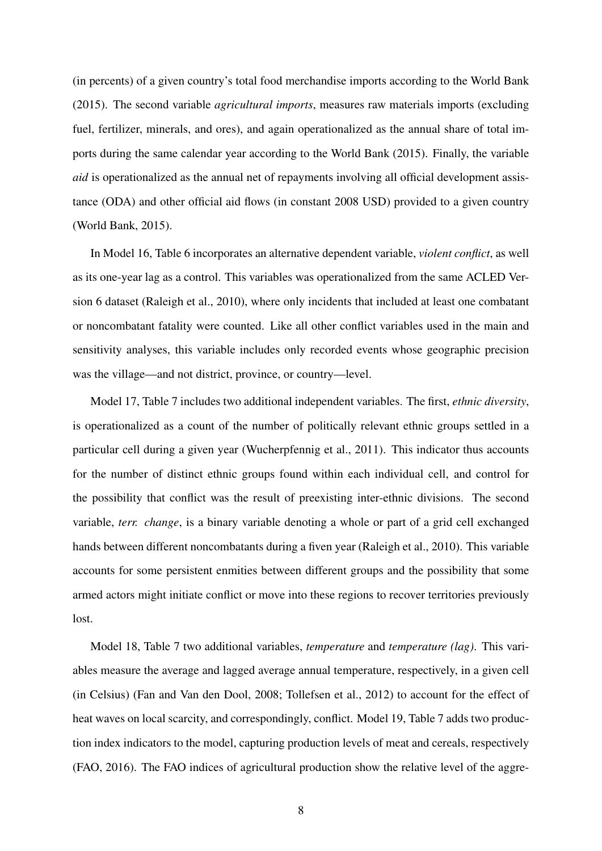(in percents) of a given country's total food merchandise imports according to the World Bank (2015). The second variable *agricultural imports*, measures raw materials imports (excluding fuel, fertilizer, minerals, and ores), and again operationalized as the annual share of total imports during the same calendar year according to the World Bank (2015). Finally, the variable *aid* is operationalized as the annual net of repayments involving all official development assistance (ODA) and other official aid flows (in constant 2008 USD) provided to a given country (World Bank, 2015).

In Model 16, Table 6 incorporates an alternative dependent variable, *violent conflict*, as well as its one-year lag as a control. This variables was operationalized from the same ACLED Version 6 dataset (Raleigh et al., 2010), where only incidents that included at least one combatant or noncombatant fatality were counted. Like all other conflict variables used in the main and sensitivity analyses, this variable includes only recorded events whose geographic precision was the village—and not district, province, or country—level.

Model 17, Table 7 includes two additional independent variables. The first, *ethnic diversity*, is operationalized as a count of the number of politically relevant ethnic groups settled in a particular cell during a given year (Wucherpfennig et al., 2011). This indicator thus accounts for the number of distinct ethnic groups found within each individual cell, and control for the possibility that conflict was the result of preexisting inter-ethnic divisions. The second variable, *terr. change*, is a binary variable denoting a whole or part of a grid cell exchanged hands between different noncombatants during a fiven year (Raleigh et al., 2010). This variable accounts for some persistent enmities between different groups and the possibility that some armed actors might initiate conflict or move into these regions to recover territories previously lost.

Model 18, Table 7 two additional variables, *temperature* and *temperature (lag)*. This variables measure the average and lagged average annual temperature, respectively, in a given cell (in Celsius) (Fan and Van den Dool, 2008; Tollefsen et al., 2012) to account for the effect of heat waves on local scarcity, and correspondingly, conflict. Model 19, Table 7 adds two production index indicators to the model, capturing production levels of meat and cereals, respectively (FAO, 2016). The FAO indices of agricultural production show the relative level of the aggre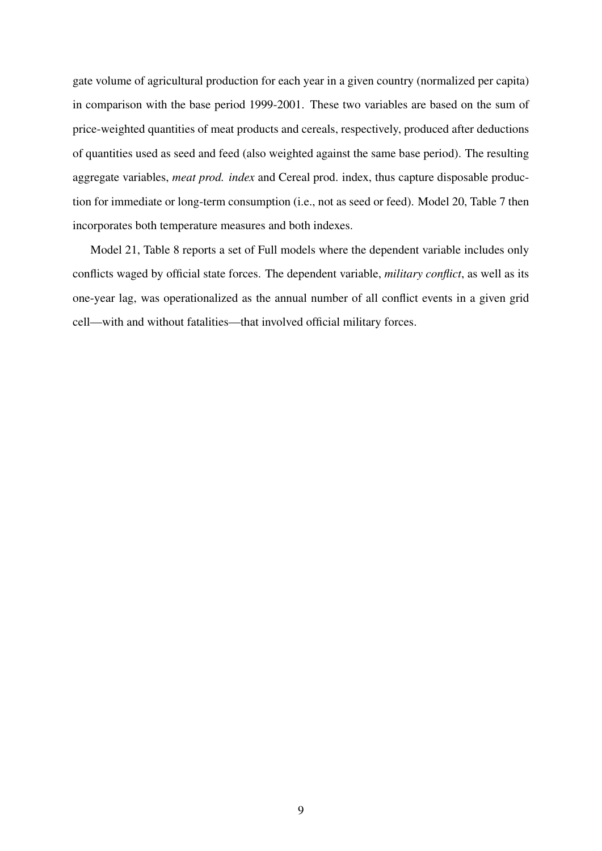gate volume of agricultural production for each year in a given country (normalized per capita) in comparison with the base period 1999-2001. These two variables are based on the sum of price-weighted quantities of meat products and cereals, respectively, produced after deductions of quantities used as seed and feed (also weighted against the same base period). The resulting aggregate variables, *meat prod. index* and Cereal prod. index, thus capture disposable production for immediate or long-term consumption (i.e., not as seed or feed). Model 20, Table 7 then incorporates both temperature measures and both indexes.

Model 21, Table 8 reports a set of Full models where the dependent variable includes only conflicts waged by official state forces. The dependent variable, *military conflict*, as well as its one-year lag, was operationalized as the annual number of all conflict events in a given grid cell—with and without fatalities—that involved official military forces.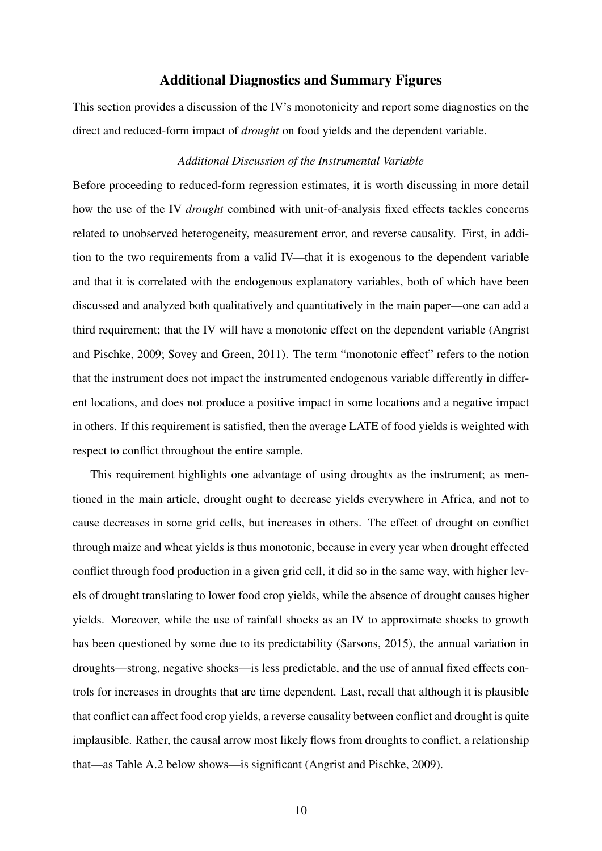#### Additional Diagnostics and Summary Figures

This section provides a discussion of the IV's monotonicity and report some diagnostics on the direct and reduced-form impact of *drought* on food yields and the dependent variable.

#### *Additional Discussion of the Instrumental Variable*

Before proceeding to reduced-form regression estimates, it is worth discussing in more detail how the use of the IV *drought* combined with unit-of-analysis fixed effects tackles concerns related to unobserved heterogeneity, measurement error, and reverse causality. First, in addition to the two requirements from a valid IV—that it is exogenous to the dependent variable and that it is correlated with the endogenous explanatory variables, both of which have been discussed and analyzed both qualitatively and quantitatively in the main paper—one can add a third requirement; that the IV will have a monotonic effect on the dependent variable (Angrist and Pischke, 2009; Sovey and Green, 2011). The term "monotonic effect" refers to the notion that the instrument does not impact the instrumented endogenous variable differently in different locations, and does not produce a positive impact in some locations and a negative impact in others. If this requirement is satisfied, then the average LATE of food yields is weighted with respect to conflict throughout the entire sample.

This requirement highlights one advantage of using droughts as the instrument; as mentioned in the main article, drought ought to decrease yields everywhere in Africa, and not to cause decreases in some grid cells, but increases in others. The effect of drought on conflict through maize and wheat yields is thus monotonic, because in every year when drought effected conflict through food production in a given grid cell, it did so in the same way, with higher levels of drought translating to lower food crop yields, while the absence of drought causes higher yields. Moreover, while the use of rainfall shocks as an IV to approximate shocks to growth has been questioned by some due to its predictability (Sarsons, 2015), the annual variation in droughts—strong, negative shocks—is less predictable, and the use of annual fixed effects controls for increases in droughts that are time dependent. Last, recall that although it is plausible that conflict can affect food crop yields, a reverse causality between conflict and drought is quite implausible. Rather, the causal arrow most likely flows from droughts to conflict, a relationship that—as Table A.2 below shows—is significant (Angrist and Pischke, 2009).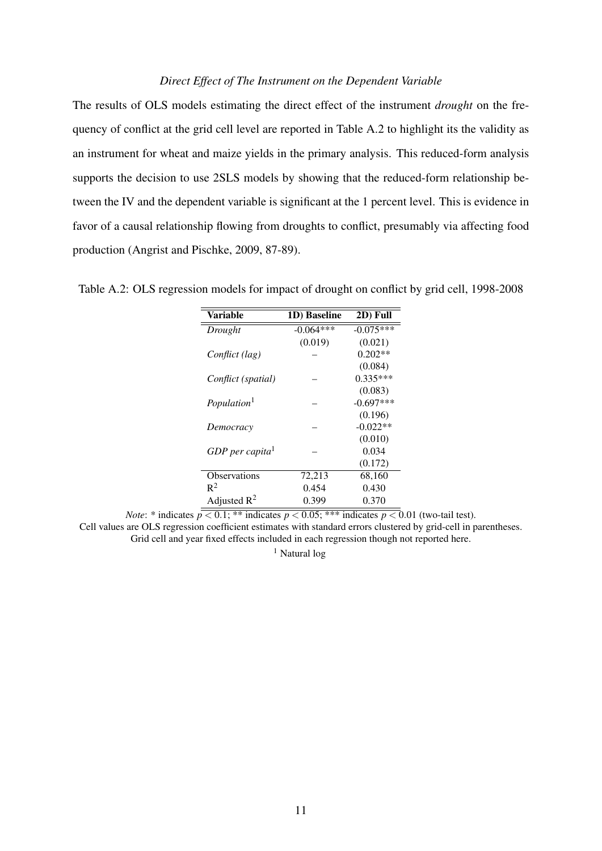#### *Direct Effect of The Instrument on the Dependent Variable*

The results of OLS models estimating the direct effect of the instrument *drought* on the frequency of conflict at the grid cell level are reported in Table A.2 to highlight its the validity as an instrument for wheat and maize yields in the primary analysis. This reduced-form analysis supports the decision to use 2SLS models by showing that the reduced-form relationship between the IV and the dependent variable is significant at the 1 percent level. This is evidence in favor of a causal relationship flowing from droughts to conflict, presumably via affecting food production (Angrist and Pischke, 2009, 87-89).

| <b>Variable</b>             | 1D) Baseline | 2D) Full    |
|-----------------------------|--------------|-------------|
| Drought                     | $-0.064***$  | $-0.075***$ |
|                             | (0.019)      | (0.021)     |
| Conflict (lag)              |              | $0.202**$   |
|                             |              | (0.084)     |
| Conflict (spatial)          |              | $0.335***$  |
|                             |              | (0.083)     |
| Population <sup>1</sup>     |              | $-0.697***$ |
|                             |              | (0.196)     |
| Democracy                   |              | $-0.022**$  |
|                             |              | (0.010)     |
| GDP per capita <sup>1</sup> |              | 0.034       |
|                             |              | (0.172)     |
| Observations                | 72,213       | 68,160      |
| $R^2$                       | 0.454        | 0.430       |
| Adjusted $R^2$              | 0.399        | 0.370       |

Table A.2: OLS regression models for impact of drought on conflict by grid cell, 1998-2008

*Note*: \* indicates  $p < 0.1$ ; \*\* indicates  $p < 0.05$ ; \*\*\* indicates  $p < 0.01$  (two-tail test).

Cell values are OLS regression coefficient estimates with standard errors clustered by grid-cell in parentheses. Grid cell and year fixed effects included in each regression though not reported here.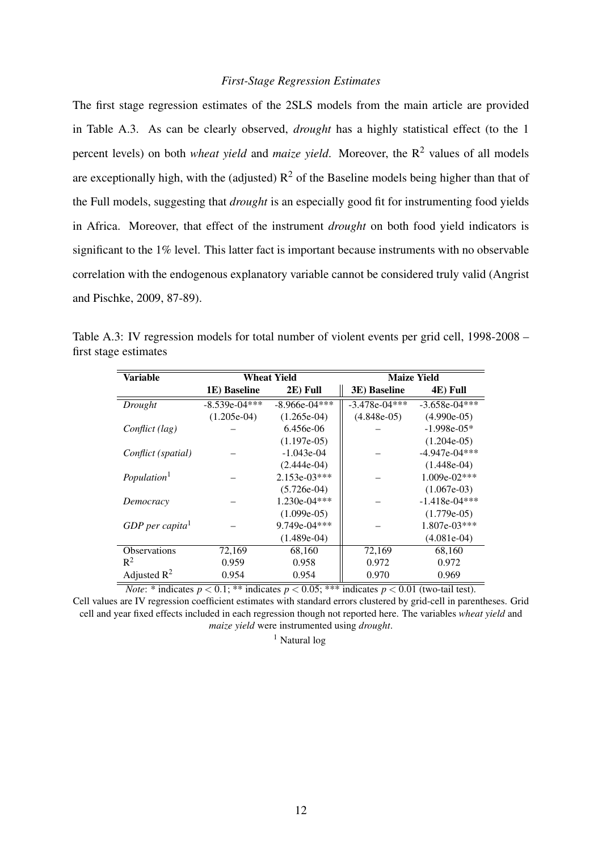#### *First-Stage Regression Estimates*

The first stage regression estimates of the 2SLS models from the main article are provided in Table A.3. As can be clearly observed, *drought* has a highly statistical effect (to the 1 percent levels) on both *wheat yield* and *maize yield*. Moreover, the R<sup>2</sup> values of all models are exceptionally high, with the (adjusted)  $R^2$  of the Baseline models being higher than that of the Full models, suggesting that *drought* is an especially good fit for instrumenting food yields in Africa. Moreover, that effect of the instrument *drought* on both food yield indicators is significant to the 1% level. This latter fact is important because instruments with no observable correlation with the endogenous explanatory variable cannot be considered truly valid (Angrist and Pischke, 2009, 87-89).

| Variable                      |                 | <b>Wheat Yield</b> |                 | <b>Maize Yield</b> |
|-------------------------------|-----------------|--------------------|-----------------|--------------------|
|                               | 1E) Baseline    | 2E) Full           | 3E) Baseline    | 4E) Full           |
| Drought                       | $-8.539e-04***$ | $-8.966e-04***$    | $-3.478e-04***$ | $-3.658e-04***$    |
|                               | $(1.205e-04)$   | $(1.265e-04)$      | $(4.848e-05)$   | $(4.990e-05)$      |
| Conflict (lag)                |                 | $6.456e-06$        |                 | $-1.998e-05*$      |
|                               |                 | $(1.197e-05)$      |                 | $(1.204e-05)$      |
| Conflict (spatial)            |                 | $-1.043e-04$       |                 | $-4.947e-04***$    |
|                               |                 | $(2.444e-04)$      |                 | $(1.448e-04)$      |
| Population <sup>1</sup>       |                 | 2.153e-03***       |                 | $1.009e-02***$     |
|                               |                 | $(5.726e-04)$      |                 | $(1.067e-03)$      |
| Democracy                     |                 | 1.230e-04***       |                 | $-1.418e-04***$    |
|                               |                 | $(1.099e-05)$      |                 | $(1.779e-05)$      |
| $GDP$ per capita <sup>1</sup> |                 | $9.749e-04***$     |                 | $1.807e-03***$     |
|                               |                 | $(1.489e-04)$      |                 | $(4.081e-04)$      |
| <b>Observations</b>           | 72,169          | 68,160             | 72,169          | 68,160             |
| $R^2$                         | 0.959           | 0.958              | 0.972           | 0.972              |
| Adjusted $\mathbb{R}^2$       | 0.954           | 0.954              | 0.970           | 0.969              |

Table A.3: IV regression models for total number of violent events per grid cell, 1998-2008 – first stage estimates

*Note*: \* indicates  $p < 0.1$ ; \*\* indicates  $p < 0.05$ ; \*\*\* indicates  $p < 0.01$  (two-tail test).

Cell values are IV regression coefficient estimates with standard errors clustered by grid-cell in parentheses. Grid cell and year fixed effects included in each regression though not reported here. The variables *wheat yield* and *maize yield* were instrumented using *drought*.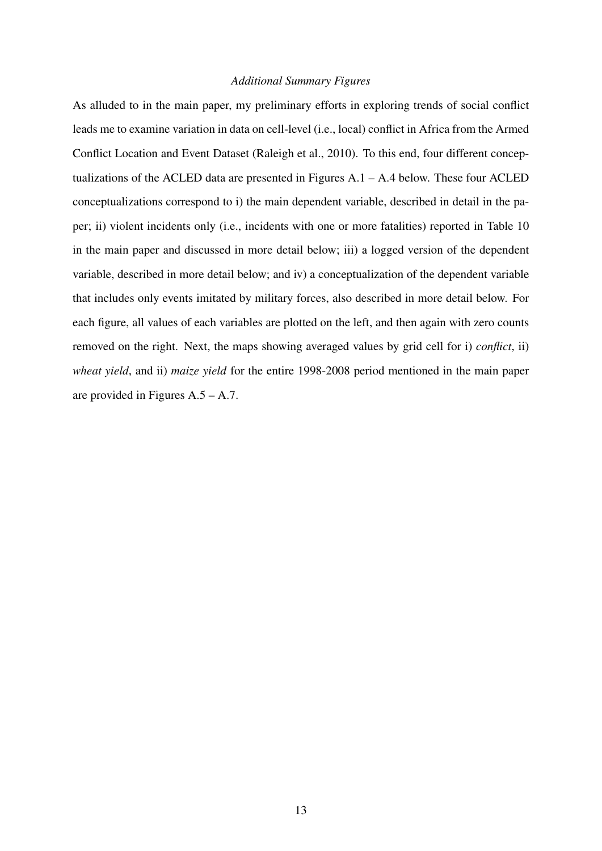### *Additional Summary Figures*

As alluded to in the main paper, my preliminary efforts in exploring trends of social conflict leads me to examine variation in data on cell-level (i.e., local) conflict in Africa from the Armed Conflict Location and Event Dataset (Raleigh et al., 2010). To this end, four different conceptualizations of the ACLED data are presented in Figures A.1 – A.4 below. These four ACLED conceptualizations correspond to i) the main dependent variable, described in detail in the paper; ii) violent incidents only (i.e., incidents with one or more fatalities) reported in Table 10 in the main paper and discussed in more detail below; iii) a logged version of the dependent variable, described in more detail below; and iv) a conceptualization of the dependent variable that includes only events imitated by military forces, also described in more detail below. For each figure, all values of each variables are plotted on the left, and then again with zero counts removed on the right. Next, the maps showing averaged values by grid cell for i) *conflict*, ii) *wheat yield*, and ii) *maize yield* for the entire 1998-2008 period mentioned in the main paper are provided in Figures A.5 – A.7.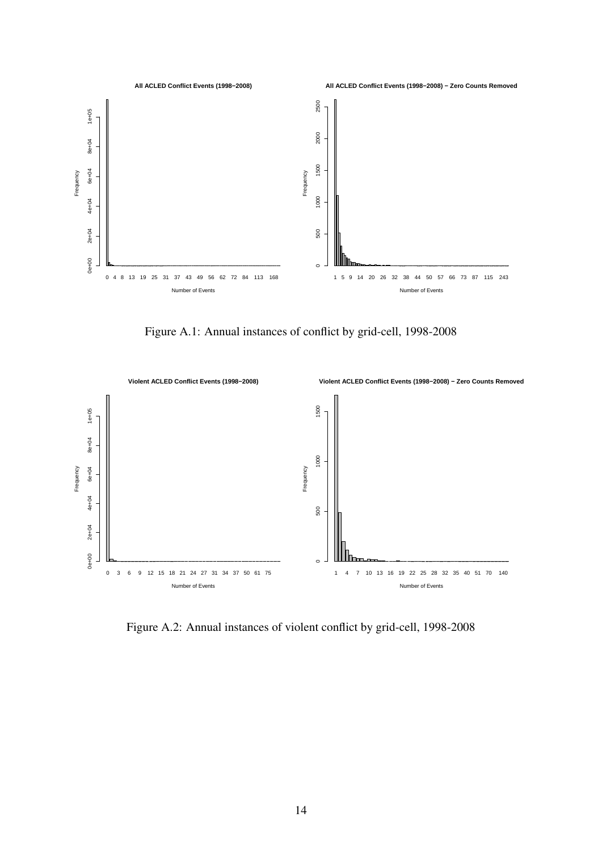

Figure A.1: Annual instances of conflict by grid-cell, 1998-2008



Figure A.2: Annual instances of violent conflict by grid-cell, 1998-2008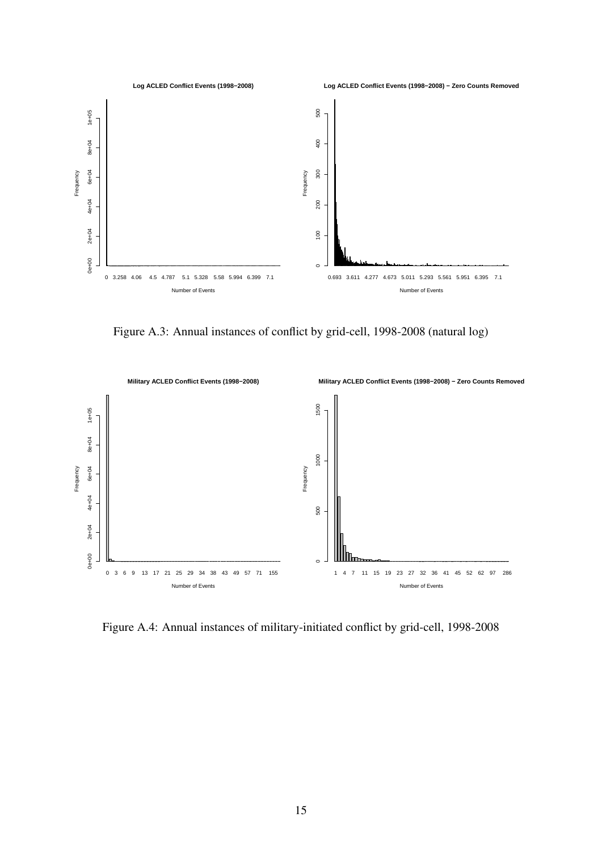

Figure A.3: Annual instances of conflict by grid-cell, 1998-2008 (natural log)



Figure A.4: Annual instances of military-initiated conflict by grid-cell, 1998-2008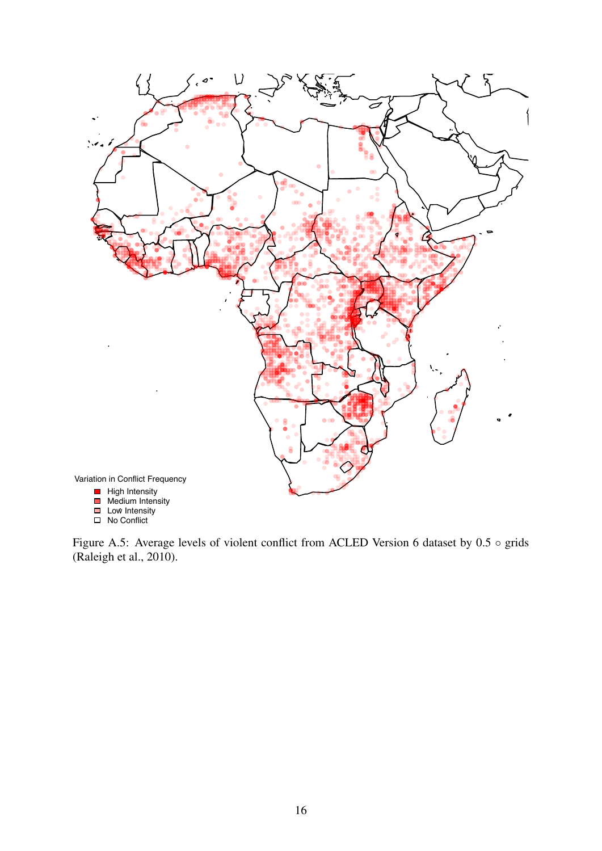

No Conflict

Figure A.5: Average levels of violent conflict from ACLED Version 6 dataset by 0.5 ◦ grids (Raleigh et al., 2010).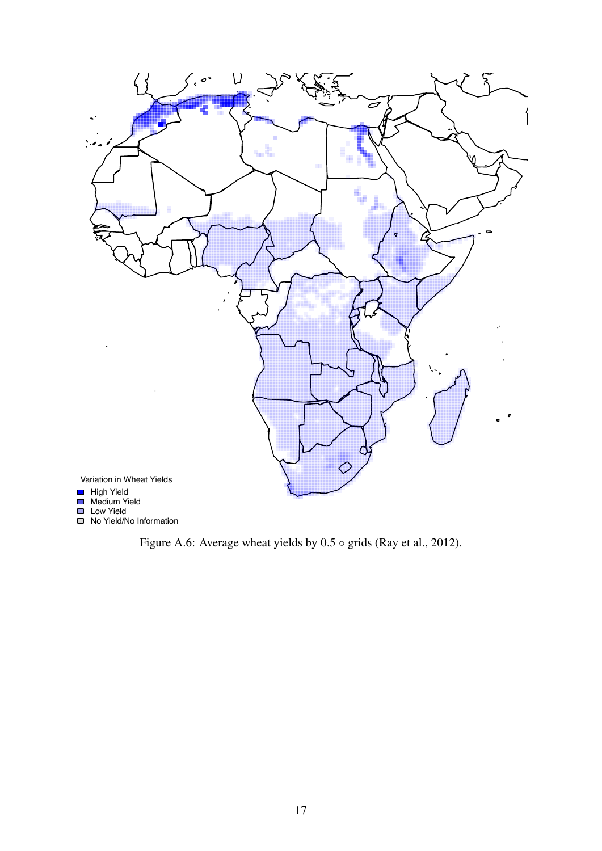

No Yield/No Information

Figure A.6: Average wheat yields by  $0.5 \circ$  grids (Ray et al., 2012).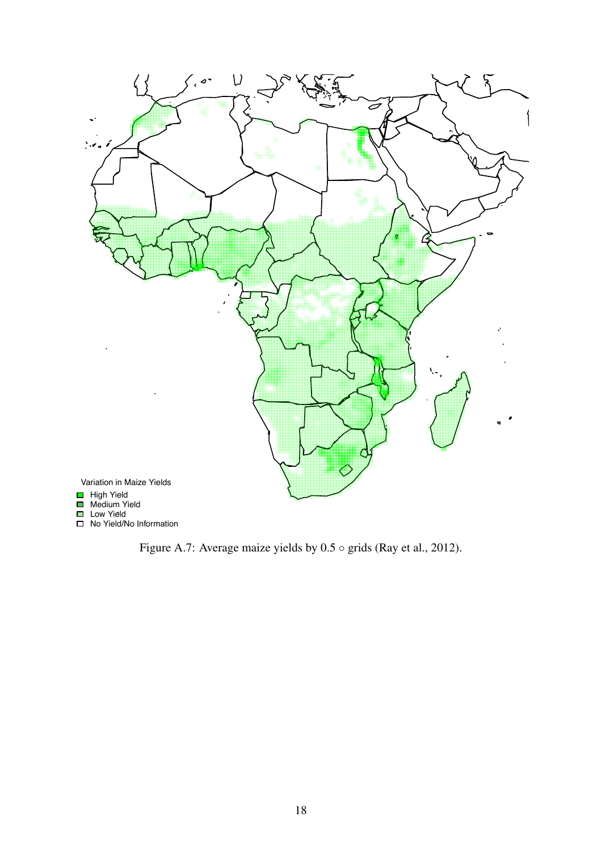

Figure A.7: Average maize yields by 0.5 ◦ grids (Ray et al., 2012).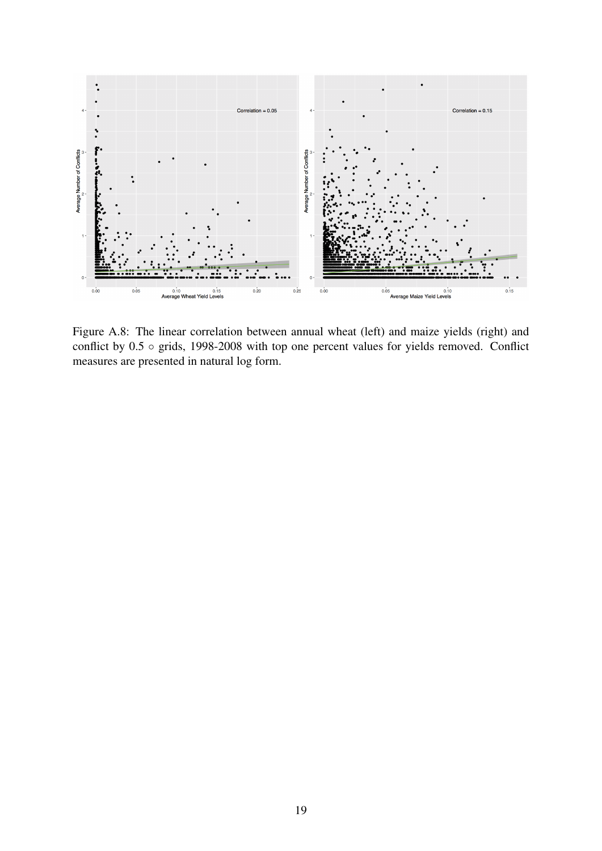

Figure A.8: The linear correlation between annual wheat (left) and maize yields (right) and conflict by 0.5 ◦ grids, 1998-2008 with top one percent values for yields removed. Conflict measures are presented in natural log form.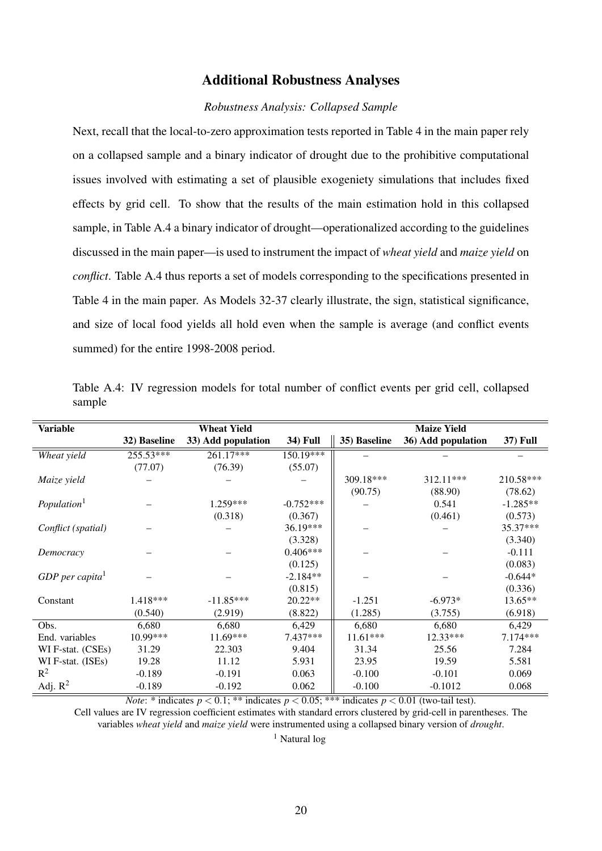#### Additional Robustness Analyses

#### *Robustness Analysis: Collapsed Sample*

Next, recall that the local-to-zero approximation tests reported in Table 4 in the main paper rely on a collapsed sample and a binary indicator of drought due to the prohibitive computational issues involved with estimating a set of plausible exogeniety simulations that includes fixed effects by grid cell. To show that the results of the main estimation hold in this collapsed sample, in Table A.4 a binary indicator of drought—operationalized according to the guidelines discussed in the main paper—is used to instrument the impact of *wheat yield* and *maize yield* on *conflict*. Table A.4 thus reports a set of models corresponding to the specifications presented in Table 4 in the main paper. As Models 32-37 clearly illustrate, the sign, statistical significance, and size of local food yields all hold even when the sample is average (and conflict events summed) for the entire 1998-2008 period.

| <b>Variable</b>               |              | <b>Wheat Yield</b> |                 |              | <b>Maize Yield</b> |                 |
|-------------------------------|--------------|--------------------|-----------------|--------------|--------------------|-----------------|
|                               | 32) Baseline | 33) Add population | <b>34) Full</b> | 35) Baseline | 36) Add population | <b>37) Full</b> |
| Wheat yield                   | 255.53***    | $261.17***$        | $150.19***$     |              |                    |                 |
|                               | (77.07)      | (76.39)            | (55.07)         |              |                    |                 |
| Maize yield                   |              |                    |                 | 309.18***    | 312.11***          | 210.58***       |
|                               |              |                    |                 | (90.75)      | (88.90)            | (78.62)         |
| Population <sup>1</sup>       |              | 1.259***           | $-0.752***$     |              | 0.541              | $-1.285**$      |
|                               |              | (0.318)            | (0.367)         |              | (0.461)            | (0.573)         |
| Conflict (spatial)            |              |                    | $36.19***$      |              |                    | 35.37***        |
|                               |              |                    | (3.328)         |              |                    | (3.340)         |
| Democracy                     |              |                    | $0.406***$      |              |                    | $-0.111$        |
|                               |              |                    | (0.125)         |              |                    | (0.083)         |
| $GDP$ per capita <sup>1</sup> |              |                    | $-2.184**$      |              |                    | $-0.644*$       |
|                               |              |                    | (0.815)         |              |                    | (0.336)         |
| Constant                      | 1.418***     | $-11.85***$        | $20.22**$       | $-1.251$     | $-6.973*$          | $13.65**$       |
|                               | (0.540)      | (2.919)            | (8.822)         | (1.285)      | (3.755)            | (6.918)         |
| Obs.                          | 6,680        | 6,680              | 6,429           | 6,680        | 6,680              | 6,429           |
| End. variables                | 10.99***     | 11.69***           | 7.437***        | $11.61***$   | $12.33***$         | 7.174***        |
| WI F-stat. (CSEs)             | 31.29        | 22.303             | 9.404           | 31.34        | 25.56              | 7.284           |
| WI F-stat. (ISEs)             | 19.28        | 11.12              | 5.931           | 23.95        | 19.59              | 5.581           |
| $R^2$                         | $-0.189$     | $-0.191$           | 0.063           | $-0.100$     | $-0.101$           | 0.069           |
| Adj. $R^2$                    | $-0.189$     | $-0.192$           | 0.062           | $-0.100$     | $-0.1012$          | 0.068           |

Table A.4: IV regression models for total number of conflict events per grid cell, collapsed sample

*Note*: \* indicates  $p < 0.1$ ; \*\* indicates  $p < 0.05$ ; \*\*\* indicates  $p < 0.01$  (two-tail test).

Cell values are IV regression coefficient estimates with standard errors clustered by grid-cell in parentheses. The variables *wheat yield* and *maize yield* were instrumented using a collapsed binary version of *drought*.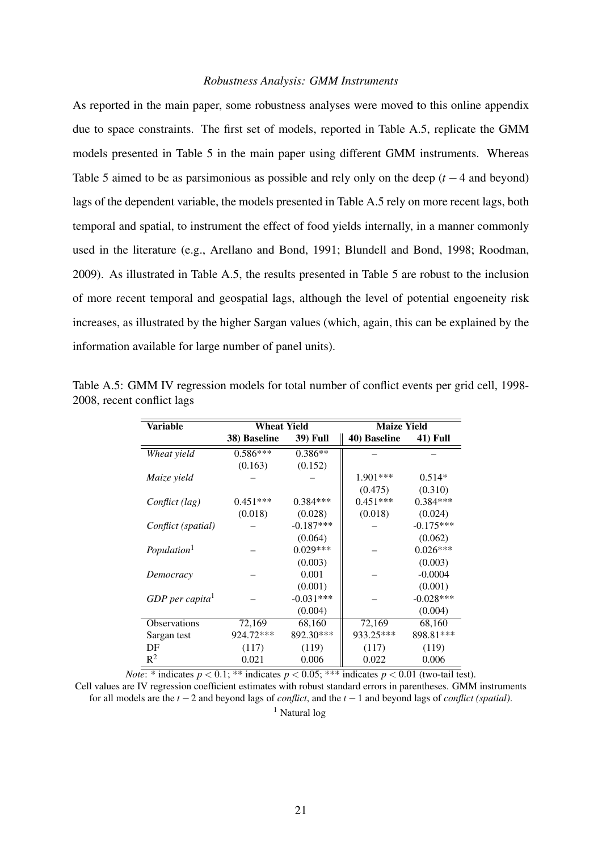#### *Robustness Analysis: GMM Instruments*

As reported in the main paper, some robustness analyses were moved to this online appendix due to space constraints. The first set of models, reported in Table A.5, replicate the GMM models presented in Table 5 in the main paper using different GMM instruments. Whereas Table 5 aimed to be as parsimonious as possible and rely only on the deep  $(t - 4$  and beyond) lags of the dependent variable, the models presented in Table A.5 rely on more recent lags, both temporal and spatial, to instrument the effect of food yields internally, in a manner commonly used in the literature (e.g., Arellano and Bond, 1991; Blundell and Bond, 1998; Roodman, 2009). As illustrated in Table A.5, the results presented in Table 5 are robust to the inclusion of more recent temporal and geospatial lags, although the level of potential engoeneity risk increases, as illustrated by the higher Sargan values (which, again, this can be explained by the information available for large number of panel units).

| Variable                    | <b>Wheat Yield</b> |                 | <b>Maize Yield</b> |                 |
|-----------------------------|--------------------|-----------------|--------------------|-----------------|
|                             | 38) Baseline       | <b>39) Full</b> | 40) Baseline       | <b>41)</b> Full |
| Wheat yield                 | $0.586***$         | $0.386**$       |                    |                 |
|                             | (0.163)            | (0.152)         |                    |                 |
| Maize yield                 |                    |                 | $1.901***$         | $0.514*$        |
|                             |                    |                 | (0.475)            | (0.310)         |
| Conflict (lag)              | $0.451***$         | $0.384***$      | $0.451***$         | $0.384***$      |
|                             | (0.018)            | (0.028)         | (0.018)            | (0.024)         |
| Conflict (spatial)          |                    | $-0.187***$     |                    | $-0.175***$     |
|                             |                    | (0.064)         |                    | (0.062)         |
| Population <sup>1</sup>     |                    | $0.029***$      |                    | $0.026***$      |
|                             |                    | (0.003)         |                    | (0.003)         |
| Democracy                   |                    | 0.001           |                    | $-0.0004$       |
|                             |                    | (0.001)         |                    | (0.001)         |
| GDP per capita <sup>1</sup> |                    | $-0.031***$     |                    | $-0.028***$     |
|                             |                    | (0.004)         |                    | (0.004)         |
| <b>Observations</b>         | 72,169             | 68,160          | 72,169             | 68,160          |
| Sargan test                 | 924.72***          | 892.30***       | 933.25***          | 898.81***       |
| DF                          | (117)              | (119)           | (117)              | (119)           |
| $R^2$                       | 0.021              | 0.006           | 0.022              | 0.006           |

Table A.5: GMM IV regression models for total number of conflict events per grid cell, 1998- 2008, recent conflict lags

*Note*: \* indicates  $p < 0.1$ ; \*\* indicates  $p < 0.05$ ; \*\*\* indicates  $p < 0.01$  (two-tail test). Cell values are IV regression coefficient estimates with robust standard errors in parentheses. GMM instruments for all models are the *t* −2 and beyond lags of *conflict*, and the *t* −1 and beyond lags of *conflict (spatial)*.

<sup>1</sup> Natural log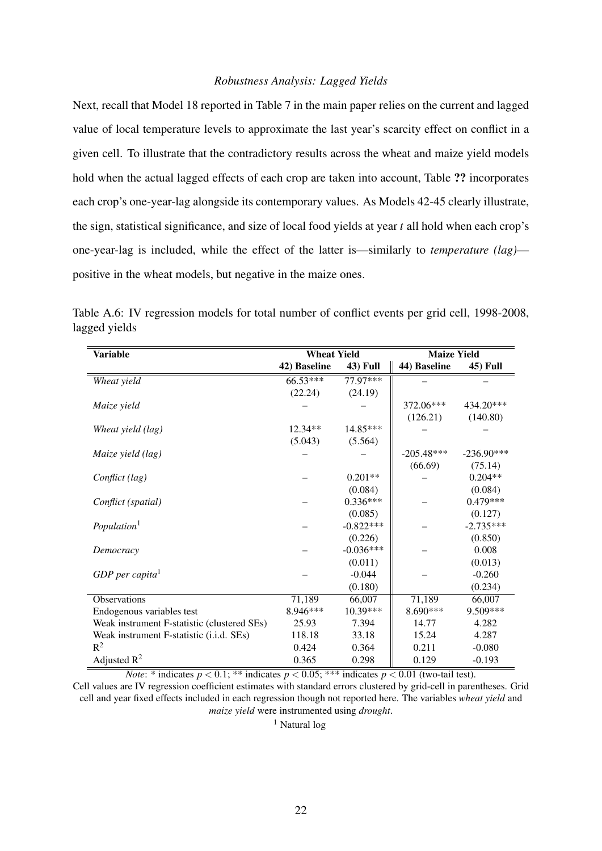#### *Robustness Analysis: Lagged Yields*

Next, recall that Model 18 reported in Table 7 in the main paper relies on the current and lagged value of local temperature levels to approximate the last year's scarcity effect on conflict in a given cell. To illustrate that the contradictory results across the wheat and maize yield models hold when the actual lagged effects of each crop are taken into account, Table ?? incorporates each crop's one-year-lag alongside its contemporary values. As Models 42-45 clearly illustrate, the sign, statistical significance, and size of local food yields at year *t* all hold when each crop's one-year-lag is included, while the effect of the latter is—similarly to *temperature (lag)* positive in the wheat models, but negative in the maize ones.

| <b>Variable</b>                             | <b>Wheat Yield</b> |                 | <b>Maize Yield</b> |              |
|---------------------------------------------|--------------------|-----------------|--------------------|--------------|
|                                             | 42) Baseline       | <b>43)</b> Full | 44) Baseline       | 45) Full     |
| Wheat yield                                 | $66.53***$         | 77.97***        |                    |              |
|                                             | (22.24)            | (24.19)         |                    |              |
| Maize yield                                 |                    |                 | 372.06***          | 434.20***    |
|                                             |                    |                 | (126.21)           | (140.80)     |
| Wheat yield (lag)                           | $12.34**$          | 14.85***        |                    |              |
|                                             | (5.043)            | (5.564)         |                    |              |
| Maize yield (lag)                           |                    |                 | $-205.48***$       | $-236.90***$ |
|                                             |                    |                 | (66.69)            | (75.14)      |
| Conflict (lag)                              |                    | $0.201**$       |                    | $0.204**$    |
|                                             |                    | (0.084)         |                    | (0.084)      |
| Conflict (spatial)                          |                    | $0.336***$      |                    | $0.479***$   |
|                                             |                    | (0.085)         |                    | (0.127)      |
| Population <sup>1</sup>                     |                    | $-0.822***$     |                    | $-2.735***$  |
|                                             |                    | (0.226)         |                    | (0.850)      |
| Democracy                                   |                    | $-0.036***$     |                    | 0.008        |
|                                             |                    | (0.011)         |                    | (0.013)      |
| $GDP$ per capita <sup>1</sup>               |                    | $-0.044$        |                    | $-0.260$     |
|                                             |                    | (0.180)         |                    | (0.234)      |
| Observations                                | 71,189             | 66,007          | 71,189             | 66,007       |
| Endogenous variables test                   | 8.946***           | 10.39***        | $8.690***$         | 9.509***     |
| Weak instrument F-statistic (clustered SEs) | 25.93              | 7.394           | 14.77              | 4.282        |
| Weak instrument F-statistic (i.i.d. SEs)    | 118.18             | 33.18           | 15.24              | 4.287        |
| $R^2$                                       | 0.424              | 0.364           | 0.211              | $-0.080$     |
| Adjusted $R^2$                              | 0.365              | 0.298           | 0.129              | $-0.193$     |

Table A.6: IV regression models for total number of conflict events per grid cell, 1998-2008, lagged yields

*Note*: \* indicates  $p < 0.1$ ; \*\* indicates  $p < 0.05$ ; \*\*\* indicates  $p < 0.01$  (two-tail test).

Cell values are IV regression coefficient estimates with standard errors clustered by grid-cell in parentheses. Grid cell and year fixed effects included in each regression though not reported here. The variables *wheat yield* and *maize yield* were instrumented using *drought*.

<sup>1</sup> Natural log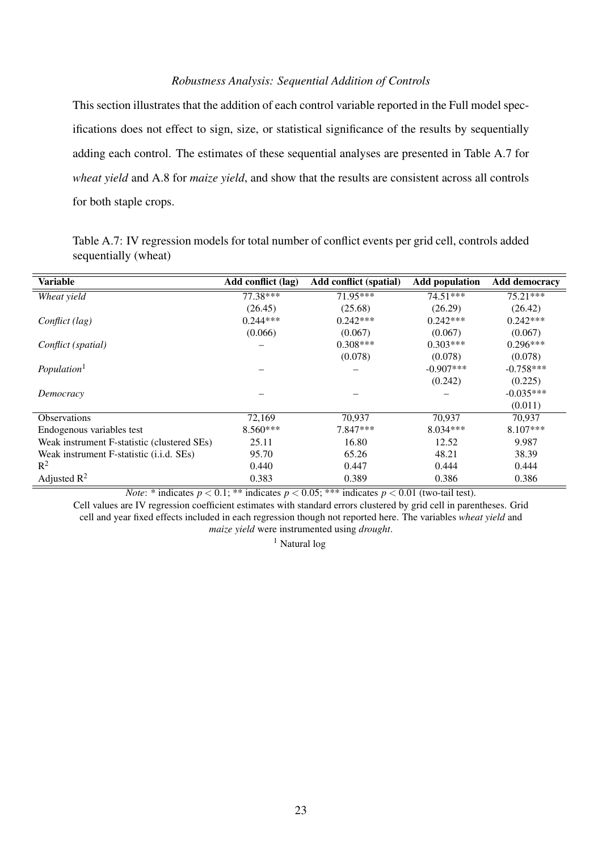#### *Robustness Analysis: Sequential Addition of Controls*

This section illustrates that the addition of each control variable reported in the Full model specifications does not effect to sign, size, or statistical significance of the results by sequentially adding each control. The estimates of these sequential analyses are presented in Table A.7 for *wheat yield* and A.8 for *maize yield*, and show that the results are consistent across all controls for both staple crops.

Table A.7: IV regression models for total number of conflict events per grid cell, controls added sequentially (wheat)

| <b>Variable</b>                             | Add conflict (lag) | <b>Add conflict (spatial)</b> | <b>Add population</b> | <b>Add democracy</b> |
|---------------------------------------------|--------------------|-------------------------------|-----------------------|----------------------|
| Wheat yield                                 | 77.38***           | $71.95***$                    | $74.51***$            | $75.21***$           |
|                                             | (26.45)            | (25.68)                       | (26.29)               | (26.42)              |
| Conflict (lag)                              | $0.244***$         | $0.242***$                    | $0.242***$            | $0.242***$           |
|                                             | (0.066)            | (0.067)                       | (0.067)               | (0.067)              |
| Conflict (spatial)                          |                    | $0.308***$                    | $0.303***$            | $0.296***$           |
|                                             |                    | (0.078)                       | (0.078)               | (0.078)              |
| Population <sup>1</sup>                     |                    |                               | $-0.907***$           | $-0.758***$          |
|                                             |                    |                               | (0.242)               | (0.225)              |
| Democracy                                   |                    |                               |                       | $-0.035***$          |
|                                             |                    |                               |                       | (0.011)              |
| <b>Observations</b>                         | 72,169             | 70,937                        | 70,937                | 70,937               |
| Endogenous variables test                   | $8.560***$         | 7.847***                      | $8.034***$            | $8.107***$           |
| Weak instrument F-statistic (clustered SEs) | 25.11              | 16.80                         | 12.52                 | 9.987                |
| Weak instrument F-statistic (i.i.d. SEs)    | 95.70              | 65.26                         | 48.21                 | 38.39                |
| $R^2$                                       | 0.440              | 0.447                         | 0.444                 | 0.444                |
| Adjusted $\mathbb{R}^2$                     | 0.383              | 0.389                         | 0.386                 | 0.386                |

*Note*: \* indicates  $p < 0.1$ ; \*\* indicates  $p < 0.05$ ; \*\*\* indicates  $p < 0.01$  (two-tail test). Cell values are IV regression coefficient estimates with standard errors clustered by grid cell in parentheses. Grid cell and year fixed effects included in each regression though not reported here. The variables *wheat yield* and *maize yield* were instrumented using *drought*.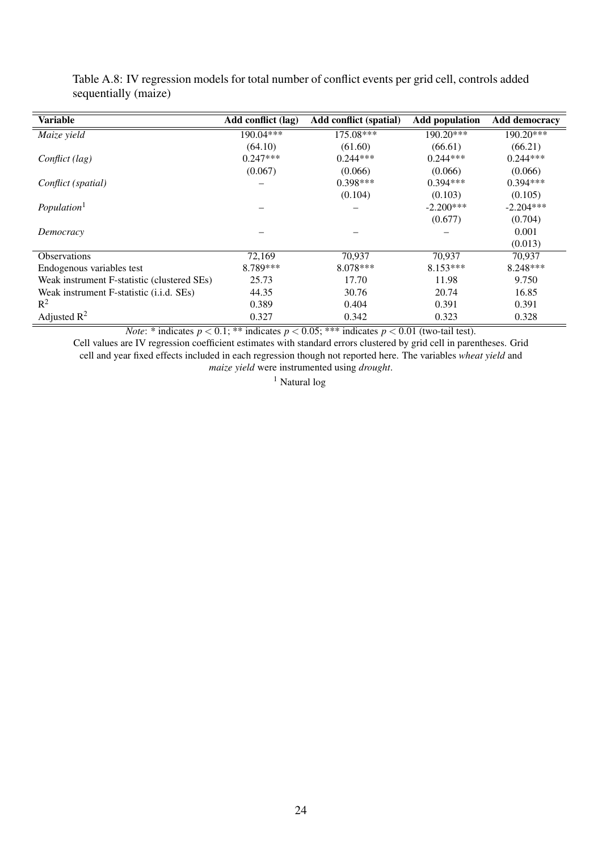| <b>Variable</b>                             | Add conflict (lag) | <b>Add conflict (spatial)</b> | <b>Add population</b> | <b>Add democracy</b> |
|---------------------------------------------|--------------------|-------------------------------|-----------------------|----------------------|
| Maize yield                                 | 190.04***          | $175.08***$                   | 190.20***             | 190.20***            |
|                                             | (64.10)            | (61.60)                       | (66.61)               | (66.21)              |
| Conflict (lag)                              | $0.247***$         | $0.244***$                    | $0.244***$            | $0.244***$           |
|                                             | (0.067)            | (0.066)                       | (0.066)               | (0.066)              |
| Conflict (spatial)                          |                    | $0.398***$                    | $0.394***$            | $0.394***$           |
|                                             |                    | (0.104)                       | (0.103)               | (0.105)              |
| Population <sup>1</sup>                     |                    |                               | $-2.200***$           | $-2.204***$          |
|                                             |                    |                               | (0.677)               | (0.704)              |
| Democracy                                   |                    |                               |                       | 0.001                |
|                                             |                    |                               |                       | (0.013)              |
| <b>Observations</b>                         | 72,169             | 70.937                        | 70.937                | 70.937               |
| Endogenous variables test                   | 8.789***           | 8.078***                      | $8.153***$            | $8.248***$           |
| Weak instrument F-statistic (clustered SEs) | 25.73              | 17.70                         | 11.98                 | 9.750                |
| Weak instrument F-statistic (i.i.d. SEs)    | 44.35              | 30.76                         | 20.74                 | 16.85                |
| $R^2$                                       | 0.389              | 0.404                         | 0.391                 | 0.391                |
| Adjusted $\mathbb{R}^2$                     | 0.327              | 0.342                         | 0.323                 | 0.328                |

Table A.8: IV regression models for total number of conflict events per grid cell, controls added sequentially (maize)

*Note*: \* indicates  $p < 0.1$ ; \*\* indicates  $p < 0.05$ ; \*\*\* indicates  $p < 0.01$  (two-tail test).

Cell values are IV regression coefficient estimates with standard errors clustered by grid cell in parentheses. Grid cell and year fixed effects included in each regression though not reported here. The variables *wheat yield* and *maize yield* were instrumented using *drought*.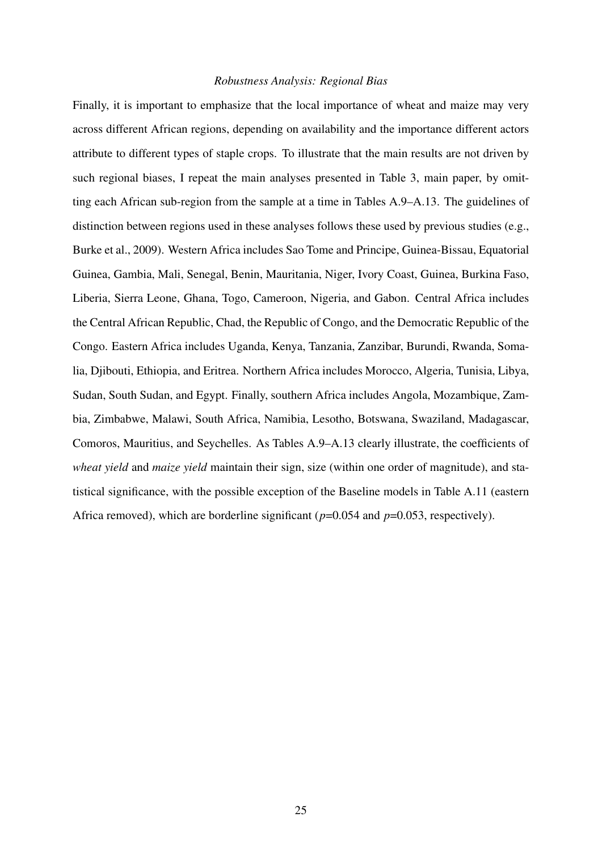#### *Robustness Analysis: Regional Bias*

Finally, it is important to emphasize that the local importance of wheat and maize may very across different African regions, depending on availability and the importance different actors attribute to different types of staple crops. To illustrate that the main results are not driven by such regional biases, I repeat the main analyses presented in Table 3, main paper, by omitting each African sub-region from the sample at a time in Tables A.9–A.13. The guidelines of distinction between regions used in these analyses follows these used by previous studies (e.g., Burke et al., 2009). Western Africa includes Sao Tome and Principe, Guinea-Bissau, Equatorial Guinea, Gambia, Mali, Senegal, Benin, Mauritania, Niger, Ivory Coast, Guinea, Burkina Faso, Liberia, Sierra Leone, Ghana, Togo, Cameroon, Nigeria, and Gabon. Central Africa includes the Central African Republic, Chad, the Republic of Congo, and the Democratic Republic of the Congo. Eastern Africa includes Uganda, Kenya, Tanzania, Zanzibar, Burundi, Rwanda, Somalia, Djibouti, Ethiopia, and Eritrea. Northern Africa includes Morocco, Algeria, Tunisia, Libya, Sudan, South Sudan, and Egypt. Finally, southern Africa includes Angola, Mozambique, Zambia, Zimbabwe, Malawi, South Africa, Namibia, Lesotho, Botswana, Swaziland, Madagascar, Comoros, Mauritius, and Seychelles. As Tables A.9–A.13 clearly illustrate, the coefficients of *wheat yield* and *maize yield* maintain their sign, size (within one order of magnitude), and statistical significance, with the possible exception of the Baseline models in Table A.11 (eastern Africa removed), which are borderline significant (*p*=0.054 and *p*=0.053, respectively).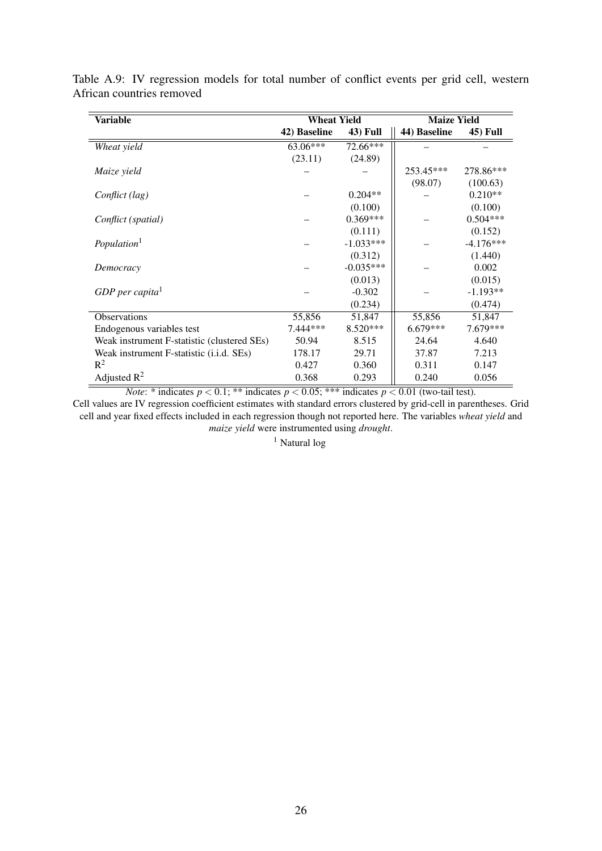| <b>Variable</b>                             | <b>Wheat Yield</b> |                 | <b>Maize Yield</b> |                 |  |
|---------------------------------------------|--------------------|-----------------|--------------------|-----------------|--|
|                                             | 42) Baseline       | <b>43) Full</b> | 44) Baseline       | <b>45) Full</b> |  |
| Wheat yield                                 | 63.06***           | 72.66***        |                    |                 |  |
|                                             | (23.11)            | (24.89)         |                    |                 |  |
| Maize yield                                 |                    |                 | 253.45***          | 278.86***       |  |
|                                             |                    |                 | (98.07)            | (100.63)        |  |
| Conflict (lag)                              |                    | $0.204**$       |                    | $0.210**$       |  |
|                                             |                    | (0.100)         |                    | (0.100)         |  |
| Conflict (spatial)                          |                    | $0.369***$      |                    | $0.504***$      |  |
|                                             |                    | (0.111)         |                    | (0.152)         |  |
| Population <sup>1</sup>                     |                    | $-1.033***$     |                    | $-4.176***$     |  |
|                                             |                    | (0.312)         |                    | (1.440)         |  |
| Democracy                                   |                    | $-0.035***$     |                    | 0.002           |  |
|                                             |                    | (0.013)         |                    | (0.015)         |  |
| GDP per capita <sup>1</sup>                 |                    | $-0.302$        |                    | $-1.193**$      |  |
|                                             |                    | (0.234)         |                    | (0.474)         |  |
| <b>Observations</b>                         | 55,856             | 51,847          | 55,856             | 51,847          |  |
| Endogenous variables test                   | $7.444***$         | $8.520***$      | $6.679***$         | $7.679***$      |  |
| Weak instrument F-statistic (clustered SEs) | 50.94              | 8.515           | 24.64              | 4.640           |  |
| Weak instrument F-statistic (i.i.d. SEs)    | 178.17             | 29.71           | 37.87              | 7.213           |  |
| $R^2$                                       | 0.427              | 0.360           | 0.311              | 0.147           |  |
| Adjusted $R^2$                              | 0.368              | 0.293           | 0.240              | 0.056           |  |

Table A.9: IV regression models for total number of conflict events per grid cell, western African countries removed

*Note*: \* indicates  $p < 0.1$ ; \*\* indicates  $p < 0.05$ ; \*\*\* indicates  $p < 0.01$  (two-tail test).

Cell values are IV regression coefficient estimates with standard errors clustered by grid-cell in parentheses. Grid cell and year fixed effects included in each regression though not reported here. The variables *wheat yield* and *maize yield* were instrumented using *drought*.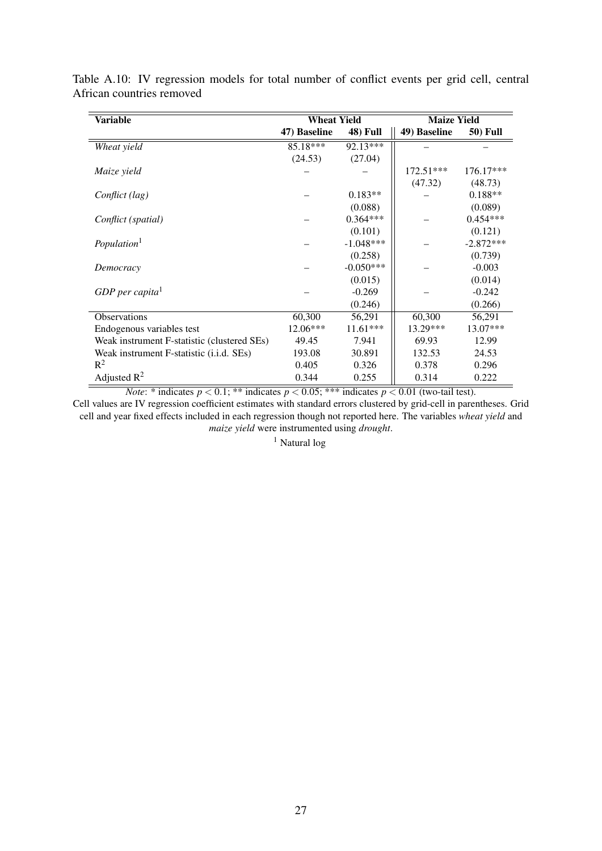| <b>Variable</b>                             | <b>Wheat Yield</b> |                 | <b>Maize Yield</b> |                 |  |
|---------------------------------------------|--------------------|-----------------|--------------------|-----------------|--|
|                                             | 47) Baseline       | <b>48)</b> Full | 49) Baseline       | <b>50)</b> Full |  |
| Wheat yield                                 | 85.18***           | $92.13***$      |                    |                 |  |
|                                             | (24.53)            | (27.04)         |                    |                 |  |
| Maize yield                                 |                    |                 | $172.51***$        | $176.17***$     |  |
|                                             |                    |                 | (47.32)            | (48.73)         |  |
| Conflict (lag)                              |                    | $0.183**$       |                    | $0.188**$       |  |
|                                             |                    | (0.088)         |                    | (0.089)         |  |
| Conflict (spatial)                          |                    | $0.364***$      |                    | $0.454***$      |  |
|                                             |                    | (0.101)         |                    | (0.121)         |  |
| Population <sup>1</sup>                     |                    | $-1.048***$     |                    | $-2.872***$     |  |
|                                             |                    | (0.258)         |                    | (0.739)         |  |
| Democracy                                   |                    | $-0.050***$     |                    | $-0.003$        |  |
|                                             |                    | (0.015)         |                    | (0.014)         |  |
| GDP per capita $1$                          |                    | $-0.269$        |                    | $-0.242$        |  |
|                                             |                    | (0.246)         |                    | (0.266)         |  |
| Observations                                | 60,300             | 56,291          | 60,300             | 56,291          |  |
| Endogenous variables test                   | $12.06***$         | $11.61***$      | 13.29***           | 13.07***        |  |
| Weak instrument F-statistic (clustered SEs) | 49.45              | 7.941           | 69.93              | 12.99           |  |
| Weak instrument F-statistic (i.i.d. SEs)    | 193.08             | 30.891          | 132.53             | 24.53           |  |
| $R^2$                                       | 0.405              | 0.326           | 0.378              | 0.296           |  |
| Adjusted $R^2$                              | 0.344              | 0.255           | 0.314              | 0.222           |  |

Table A.10: IV regression models for total number of conflict events per grid cell, central African countries removed

*Note*: \* indicates  $p < 0.1$ ; \*\* indicates  $p < 0.05$ ; \*\*\* indicates  $p < 0.01$  (two-tail test).

Cell values are IV regression coefficient estimates with standard errors clustered by grid-cell in parentheses. Grid cell and year fixed effects included in each regression though not reported here. The variables *wheat yield* and *maize yield* were instrumented using *drought*.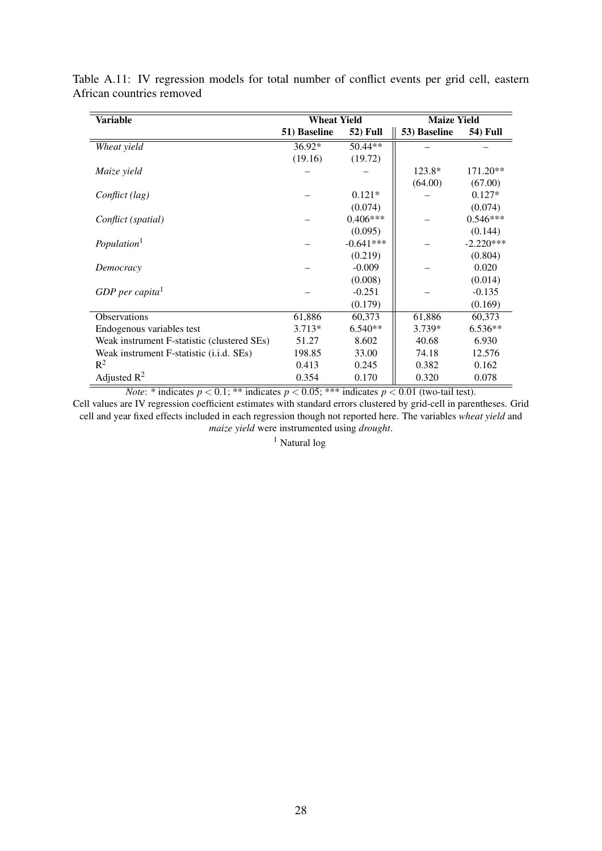| <b>Variable</b>                             | <b>Wheat Yield</b> |                 | <b>Maize Yield</b> |                 |
|---------------------------------------------|--------------------|-----------------|--------------------|-----------------|
|                                             | 51) Baseline       | <b>52)</b> Full | 53) Baseline       | <b>54)</b> Full |
| Wheat yield                                 | $36.92*$           | $50.44**$       |                    |                 |
|                                             | (19.16)            | (19.72)         |                    |                 |
| Maize yield                                 |                    |                 | $123.8*$           | $171.20**$      |
|                                             |                    |                 | (64.00)            | (67.00)         |
| Conflict (lag)                              |                    | $0.121*$        |                    | $0.127*$        |
|                                             |                    | (0.074)         |                    | (0.074)         |
| Conflict (spatial)                          |                    | $0.406***$      |                    | $0.546***$      |
|                                             |                    | (0.095)         |                    | (0.144)         |
| Population <sup>1</sup>                     |                    | $-0.641***$     |                    | $-2.220***$     |
|                                             |                    | (0.219)         |                    | (0.804)         |
| Democracy                                   |                    | $-0.009$        |                    | 0.020           |
|                                             |                    | (0.008)         |                    | (0.014)         |
| GDP per capita $1$                          |                    | $-0.251$        |                    | $-0.135$        |
|                                             |                    | (0.179)         |                    | (0.169)         |
| <b>Observations</b>                         | 61,886             | 60,373          | 61,886             | 60,373          |
| Endogenous variables test                   | $3.713*$           | $6.540**$       | 3.739*             | $6.536**$       |
| Weak instrument F-statistic (clustered SEs) | 51.27              | 8.602           | 40.68              | 6.930           |
| Weak instrument F-statistic (i.i.d. SEs)    | 198.85             | 33.00           | 74.18              | 12.576          |
| $R^2$                                       | 0.413              | 0.245           | 0.382              | 0.162           |
| Adjusted $R^2$                              | 0.354              | 0.170           | 0.320              | 0.078           |

Table A.11: IV regression models for total number of conflict events per grid cell, eastern African countries removed

*Note*: \* indicates  $p < 0.1$ ; \*\* indicates  $p < 0.05$ ; \*\*\* indicates  $p < 0.01$  (two-tail test).

Cell values are IV regression coefficient estimates with standard errors clustered by grid-cell in parentheses. Grid cell and year fixed effects included in each regression though not reported here. The variables *wheat yield* and *maize yield* were instrumented using *drought*.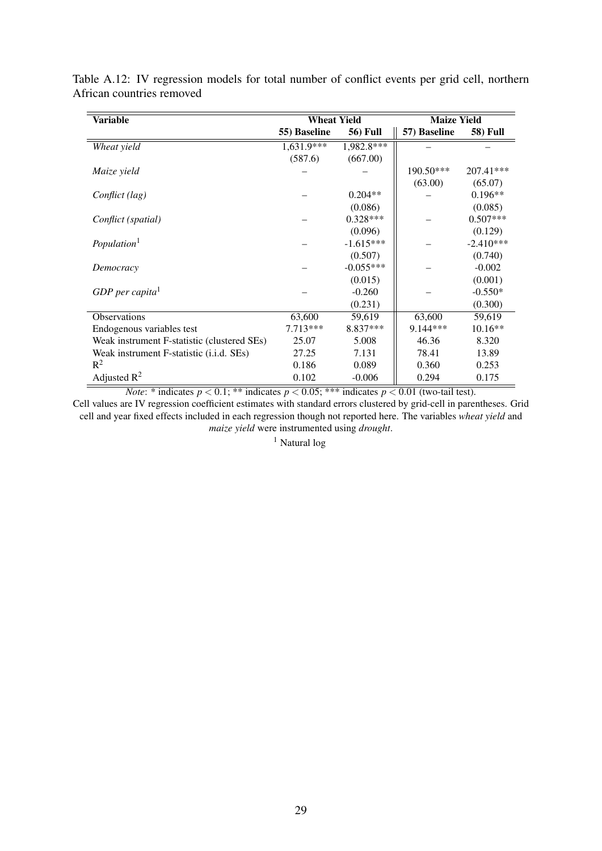| <b>Variable</b>                             | <b>Wheat Yield</b> |                 | <b>Maize Yield</b> |                 |
|---------------------------------------------|--------------------|-----------------|--------------------|-----------------|
|                                             | 55) Baseline       | <b>56)</b> Full | 57) Baseline       | <b>58)</b> Full |
| Wheat yield                                 | 1,631.9***         | 1,982.8***      |                    |                 |
|                                             | (587.6)            | (667.00)        |                    |                 |
| Maize yield                                 |                    |                 | $190.50***$        | 207.41***       |
|                                             |                    |                 | (63.00)            | (65.07)         |
| Conflict (lag)                              |                    | $0.204**$       |                    | $0.196**$       |
|                                             |                    | (0.086)         |                    | (0.085)         |
| Conflict (spatial)                          |                    | $0.328***$      |                    | $0.507***$      |
|                                             |                    | (0.096)         |                    | (0.129)         |
| Population <sup>1</sup>                     |                    | $-1.615***$     |                    | $-2.410***$     |
|                                             |                    | (0.507)         |                    | (0.740)         |
| Democracy                                   |                    | $-0.055***$     |                    | $-0.002$        |
|                                             |                    | (0.015)         |                    | (0.001)         |
| GDP per capita <sup>1</sup>                 |                    | $-0.260$        |                    | $-0.550*$       |
|                                             |                    | (0.231)         |                    | (0.300)         |
| Observations                                | 63,600             | 59,619          | 63,600             | 59,619          |
| Endogenous variables test                   | $7.713***$         | 8.837***        | $9.144***$         | $10.16**$       |
| Weak instrument F-statistic (clustered SEs) | 25.07              | 5.008           | 46.36              | 8.320           |
| Weak instrument F-statistic (i.i.d. SEs)    | 27.25              | 7.131           | 78.41              | 13.89           |
| $R^2$                                       | 0.186              | 0.089           | 0.360              | 0.253           |
| Adjusted $R^2$                              | 0.102              | $-0.006$        | 0.294              | 0.175           |

Table A.12: IV regression models for total number of conflict events per grid cell, northern African countries removed

*Note*: \* indicates  $p < 0.1$ ; \*\* indicates  $p < 0.05$ ; \*\*\* indicates  $p < 0.01$  (two-tail test).

Cell values are IV regression coefficient estimates with standard errors clustered by grid-cell in parentheses. Grid cell and year fixed effects included in each regression though not reported here. The variables *wheat yield* and *maize yield* were instrumented using *drought*.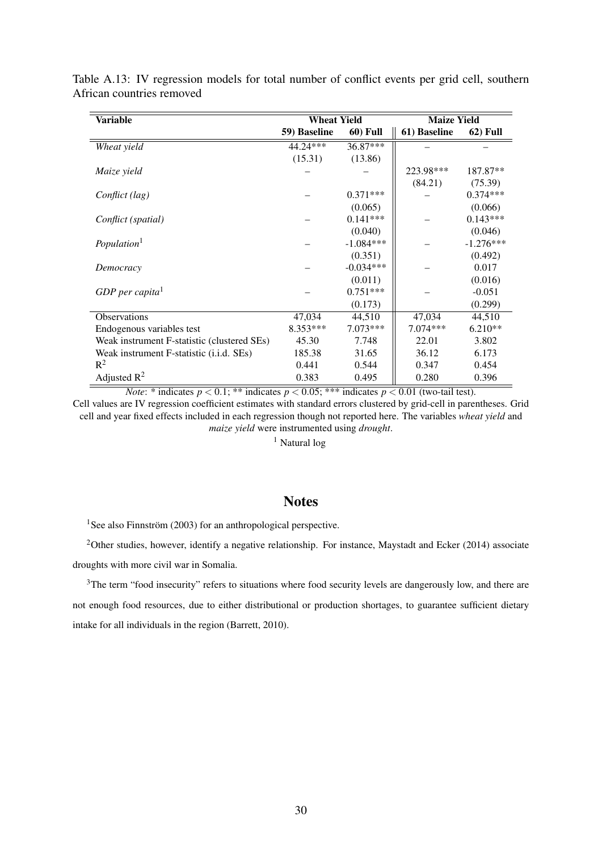| <b>Variable</b>                             | <b>Wheat Yield</b> |                 | <b>Maize Yield</b> |                 |  |  |
|---------------------------------------------|--------------------|-----------------|--------------------|-----------------|--|--|
|                                             | 59) Baseline       | <b>60)</b> Full | 61) Baseline       | <b>62)</b> Full |  |  |
| Wheat yield                                 | 44.24***           | 36.87***        |                    |                 |  |  |
|                                             | (15.31)            | (13.86)         |                    |                 |  |  |
| Maize yield                                 |                    |                 | 223.98***          | 187.87**        |  |  |
|                                             |                    |                 | (84.21)            | (75.39)         |  |  |
| Conflict (lag)                              |                    | $0.371***$      |                    | $0.374***$      |  |  |
|                                             |                    | (0.065)         |                    | (0.066)         |  |  |
| Conflict (spatial)                          |                    | $0.141***$      |                    | $0.143***$      |  |  |
|                                             |                    | (0.040)         |                    | (0.046)         |  |  |
| Population <sup>1</sup>                     |                    | $-1.084***$     |                    | $-1.276***$     |  |  |
|                                             |                    | (0.351)         |                    | (0.492)         |  |  |
| Democracy                                   |                    | $-0.034***$     |                    | 0.017           |  |  |
|                                             |                    | (0.011)         |                    | (0.016)         |  |  |
| GDP per capita <sup>1</sup>                 |                    | $0.751***$      |                    | $-0.051$        |  |  |
|                                             |                    | (0.173)         |                    | (0.299)         |  |  |
| Observations                                | 47,034             | 44,510          | 47,034             | 44,510          |  |  |
| Endogenous variables test                   | 8.353***           | $7.073***$      | $7.074***$         | $6.210**$       |  |  |
| Weak instrument F-statistic (clustered SEs) | 45.30              | 7.748           | 22.01              | 3.802           |  |  |
| Weak instrument F-statistic (i.i.d. SEs)    | 185.38             | 31.65           | 36.12              | 6.173           |  |  |
| $R^2$                                       | 0.441              | 0.544           | 0.347              | 0.454           |  |  |
| Adjusted $R^2$                              | 0.383              | 0.495           | 0.280              | 0.396           |  |  |

Table A.13: IV regression models for total number of conflict events per grid cell, southern African countries removed

*Note*: \* indicates  $p < 0.1$ ; \*\* indicates  $p < 0.05$ ; \*\*\* indicates  $p < 0.01$  (two-tail test).

Cell values are IV regression coefficient estimates with standard errors clustered by grid-cell in parentheses. Grid cell and year fixed effects included in each regression though not reported here. The variables *wheat yield* and *maize yield* were instrumented using *drought*.

<sup>1</sup> Natural log

## **Notes**

<sup>1</sup>See also Finnström (2003) for an anthropological perspective.

<sup>2</sup>Other studies, however, identify a negative relationship. For instance, Maystadt and Ecker (2014) associate droughts with more civil war in Somalia.

<sup>3</sup>The term "food insecurity" refers to situations where food security levels are dangerously low, and there are not enough food resources, due to either distributional or production shortages, to guarantee sufficient dietary intake for all individuals in the region (Barrett, 2010).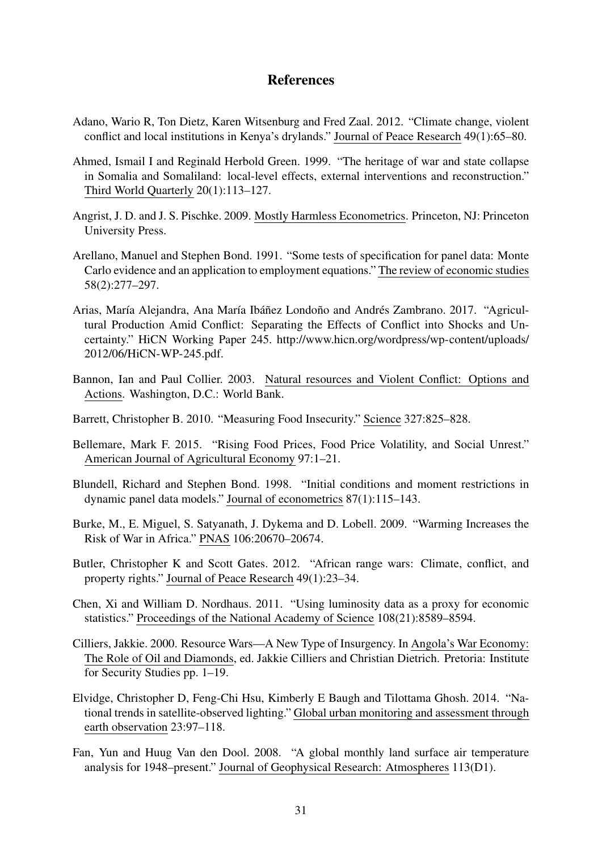## References

- Adano, Wario R, Ton Dietz, Karen Witsenburg and Fred Zaal. 2012. "Climate change, violent conflict and local institutions in Kenya's drylands." Journal of Peace Research 49(1):65–80.
- Ahmed, Ismail I and Reginald Herbold Green. 1999. "The heritage of war and state collapse in Somalia and Somaliland: local-level effects, external interventions and reconstruction." Third World Quarterly 20(1):113–127.
- Angrist, J. D. and J. S. Pischke. 2009. Mostly Harmless Econometrics. Princeton, NJ: Princeton University Press.
- Arellano, Manuel and Stephen Bond. 1991. "Some tests of specification for panel data: Monte Carlo evidence and an application to employment equations." The review of economic studies 58(2):277–297.
- Arias, María Alejandra, Ana María Ibáñez Londoño and Andrés Zambrano. 2017. "Agricultural Production Amid Conflict: Separating the Effects of Conflict into Shocks and Uncertainty." HiCN Working Paper 245. http://www.hicn.org/wordpress/wp-content/uploads/ 2012/06/HiCN-WP-245.pdf.
- Bannon, Ian and Paul Collier. 2003. Natural resources and Violent Conflict: Options and Actions. Washington, D.C.: World Bank.
- Barrett, Christopher B. 2010. "Measuring Food Insecurity." Science 327:825–828.
- Bellemare, Mark F. 2015. "Rising Food Prices, Food Price Volatility, and Social Unrest." American Journal of Agricultural Economy 97:1–21.
- Blundell, Richard and Stephen Bond. 1998. "Initial conditions and moment restrictions in dynamic panel data models." Journal of econometrics 87(1):115–143.
- Burke, M., E. Miguel, S. Satyanath, J. Dykema and D. Lobell. 2009. "Warming Increases the Risk of War in Africa." PNAS 106:20670–20674.
- Butler, Christopher K and Scott Gates. 2012. "African range wars: Climate, conflict, and property rights." Journal of Peace Research 49(1):23–34.
- Chen, Xi and William D. Nordhaus. 2011. "Using luminosity data as a proxy for economic statistics." Proceedings of the National Academy of Science 108(21):8589–8594.
- Cilliers, Jakkie. 2000. Resource Wars—A New Type of Insurgency. In Angola's War Economy: The Role of Oil and Diamonds, ed. Jakkie Cilliers and Christian Dietrich. Pretoria: Institute for Security Studies pp. 1–19.
- Elvidge, Christopher D, Feng-Chi Hsu, Kimberly E Baugh and Tilottama Ghosh. 2014. "National trends in satellite-observed lighting." Global urban monitoring and assessment through earth observation 23:97–118.
- Fan, Yun and Huug Van den Dool. 2008. "A global monthly land surface air temperature analysis for 1948–present." Journal of Geophysical Research: Atmospheres 113(D1).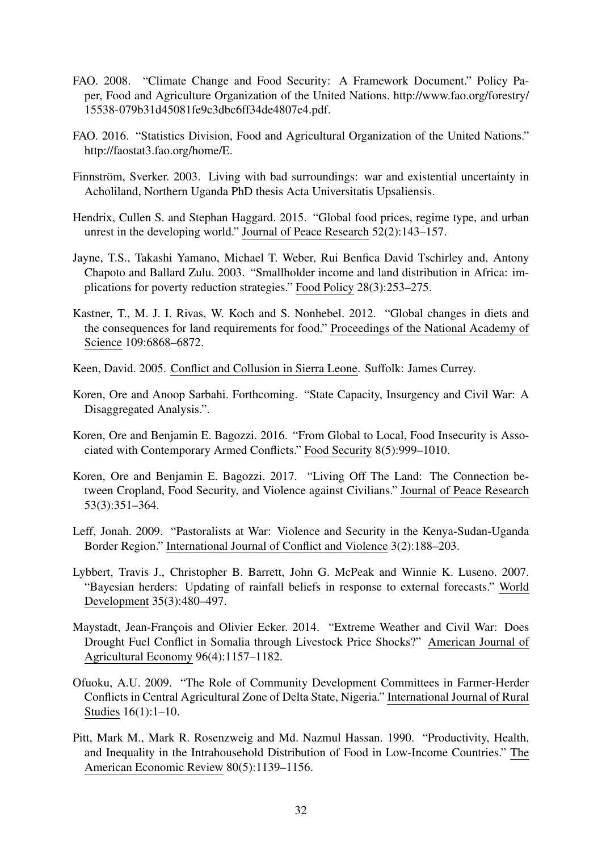- FAO. 2008. "Climate Change and Food Security: A Framework Document." Policy Paper, Food and Agriculture Organization of the United Nations. http://www.fao.org/forestry/ 15538-079b31d45081fe9c3dbc6ff34de4807e4.pdf.
- FAO. 2016. "Statistics Division, Food and Agricultural Organization of the United Nations." http://faostat3.fao.org/home/E.
- Finnström, Sverker. 2003. Living with bad surroundings: war and existential uncertainty in Acholiland, Northern Uganda PhD thesis Acta Universitatis Upsaliensis.
- Hendrix, Cullen S. and Stephan Haggard. 2015. "Global food prices, regime type, and urban unrest in the developing world." Journal of Peace Research 52(2):143–157.
- Jayne, T.S., Takashi Yamano, Michael T. Weber, Rui Benfica David Tschirley and, Antony Chapoto and Ballard Zulu. 2003. "Smallholder income and land distribution in Africa: implications for poverty reduction strategies." Food Policy 28(3):253–275.
- Kastner, T., M. J. I. Rivas, W. Koch and S. Nonhebel. 2012. "Global changes in diets and the consequences for land requirements for food." Proceedings of the National Academy of Science 109:6868–6872.
- Keen, David. 2005. Conflict and Collusion in Sierra Leone. Suffolk: James Currey.
- Koren, Ore and Anoop Sarbahi. Forthcoming. "State Capacity, Insurgency and Civil War: A Disaggregated Analysis.".
- Koren, Ore and Benjamin E. Bagozzi. 2016. "From Global to Local, Food Insecurity is Associated with Contemporary Armed Conflicts." Food Security 8(5):999–1010.
- Koren, Ore and Benjamin E. Bagozzi. 2017. "Living Off The Land: The Connection between Cropland, Food Security, and Violence against Civilians." Journal of Peace Research 53(3):351–364.
- Leff, Jonah. 2009. "Pastoralists at War: Violence and Security in the Kenya-Sudan-Uganda Border Region." International Journal of Conflict and Violence 3(2):188–203.
- Lybbert, Travis J., Christopher B. Barrett, John G. McPeak and Winnie K. Luseno. 2007. "Bayesian herders: Updating of rainfall beliefs in response to external forecasts." World Development 35(3):480–497.
- Maystadt, Jean-François and Olivier Ecker. 2014. "Extreme Weather and Civil War: Does Drought Fuel Conflict in Somalia through Livestock Price Shocks?" American Journal of Agricultural Economy 96(4):1157–1182.
- Ofuoku, A.U. 2009. "The Role of Community Development Committees in Farmer-Herder Conflicts in Central Agricultural Zone of Delta State, Nigeria." International Journal of Rural Studies 16(1):1–10.
- Pitt, Mark M., Mark R. Rosenzweig and Md. Nazmul Hassan. 1990. "Productivity, Health, and Inequality in the Intrahousehold Distribution of Food in Low-Income Countries." The American Economic Review 80(5):1139–1156.